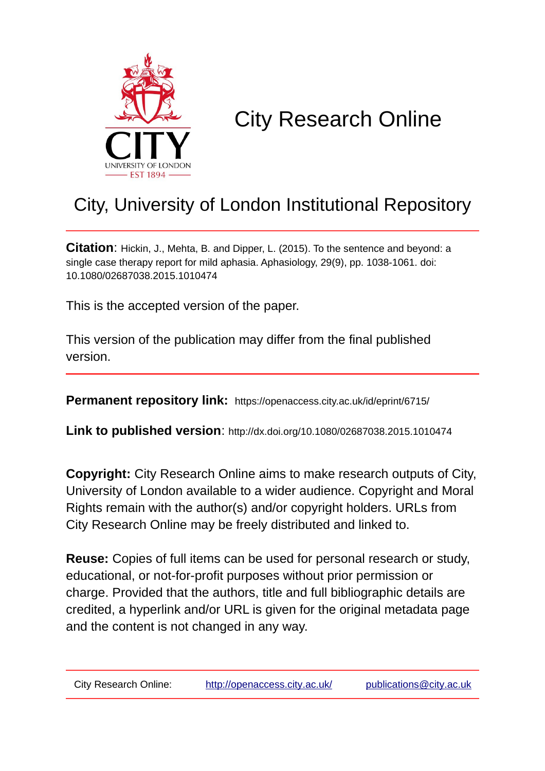

# City Research Online

# City, University of London Institutional Repository

**Citation**: Hickin, J., Mehta, B. and Dipper, L. (2015). To the sentence and beyond: a single case therapy report for mild aphasia. Aphasiology, 29(9), pp. 1038-1061. doi: 10.1080/02687038.2015.1010474

This is the accepted version of the paper.

This version of the publication may differ from the final published version.

**Permanent repository link:** https://openaccess.city.ac.uk/id/eprint/6715/

**Link to published version**: http://dx.doi.org/10.1080/02687038.2015.1010474

**Copyright:** City Research Online aims to make research outputs of City, University of London available to a wider audience. Copyright and Moral Rights remain with the author(s) and/or copyright holders. URLs from City Research Online may be freely distributed and linked to.

**Reuse:** Copies of full items can be used for personal research or study, educational, or not-for-profit purposes without prior permission or charge. Provided that the authors, title and full bibliographic details are credited, a hyperlink and/or URL is given for the original metadata page and the content is not changed in any way.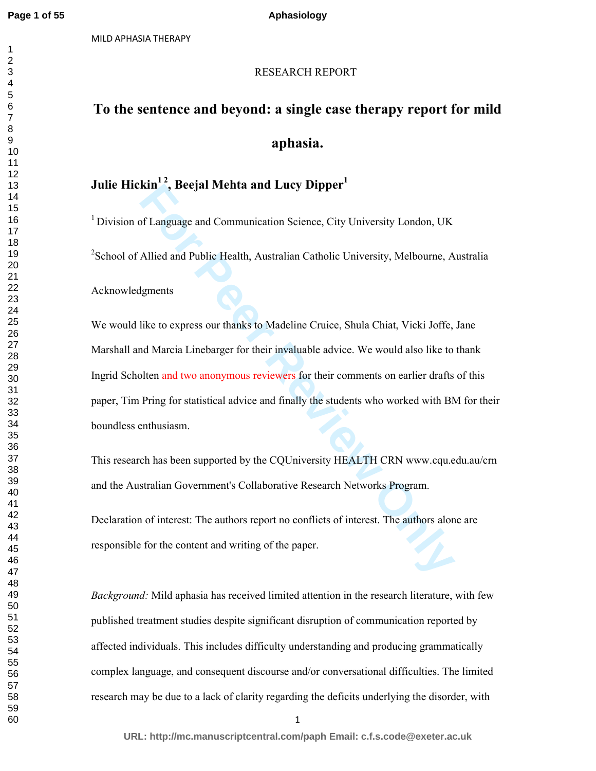#### **Aphasiology**

MILD APHASIA THERAPY

#### RESEARCH REPORT

# **To the sentence and beyond: a single case therapy report for mild aphasia.**

# **Julie Hickin1 2, Beejal Mehta and Lucy Dipper<sup>1</sup>**

<sup>1</sup> Division of Language and Communication Science, City University London, UK

<sup>2</sup> School of Allied and Public Health, Australian Catholic University, Melbourne, Australia

Acknowledgments

**Example 3 For Perron and Lucy Dipper**<br> **Follow Science, City University London, UK**<br>
Allied and Public Health, Australian Catholic University, Melbourne, A<br> **Ignents**<br>
like to express our thanks to Madeline Cruice, Shula We would like to express our thanks to Madeline Cruice, Shula Chiat, Vicki Joffe, Jane Marshall and Marcia Linebarger for their invaluable advice. We would also like to thank Ingrid Scholten and two anonymous reviewers for their comments on earlier drafts of this paper, Tim Pring for statistical advice and finally the students who worked with BM for their boundless enthusiasm.

This research has been supported by the CQUniversity HEALTH CRN www.cqu.edu.au/crn and the Australian Government's Collaborative Research Networks Program.

Declaration of interest: The authors report no conflicts of interest. The authors alone are responsible for the content and writing of the paper.

*Background:* Mild aphasia has received limited attention in the research literature, with few published treatment studies despite significant disruption of communication reported by affected individuals. This includes difficulty understanding and producing grammatically complex language, and consequent discourse and/or conversational difficulties. The limited research may be due to a lack of clarity regarding the deficits underlying the disorder, with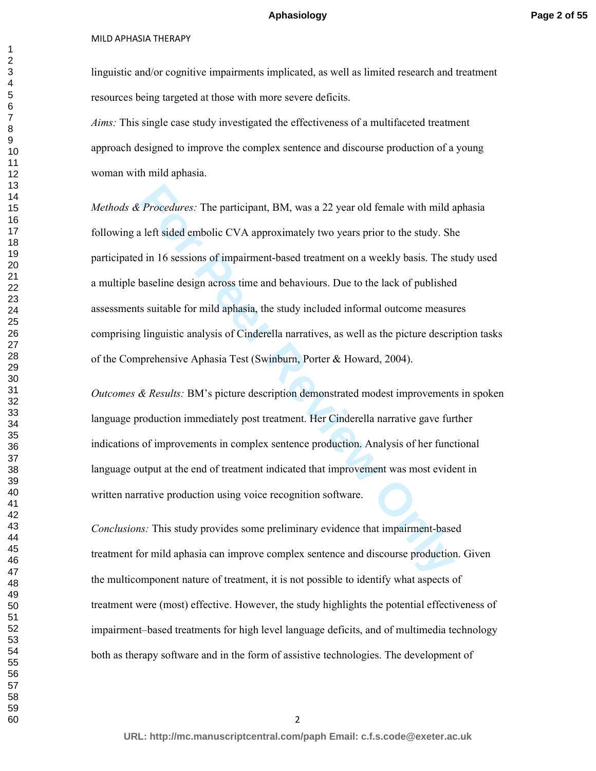linguistic and/or cognitive impairments implicated, as well as limited research and treatment resources being targeted at those with more severe deficits.

*Aims:* This single case study investigated the effectiveness of a multifaceted treatment approach designed to improve the complex sentence and discourse production of a young woman with mild aphasia.

*Procedures:* The participant, BM, was a 22 year old female with mild a<br>left sided embolic CVA approximately two years prior to the study. Sh<br>in 16 sessions of impairment-based treatment on a weekly basis. The s<br>baseline d *Methods & Procedures:* The participant, BM, was a 22 year old female with mild aphasia following a left sided embolic CVA approximately two years prior to the study. She participated in 16 sessions of impairment-based treatment on a weekly basis. The study used a multiple baseline design across time and behaviours. Due to the lack of published assessments suitable for mild aphasia, the study included informal outcome measures comprising linguistic analysis of Cinderella narratives, as well as the picture description tasks of the Comprehensive Aphasia Test (Swinburn, Porter & Howard, 2004).

*Outcomes & Results:* BM's picture description demonstrated modest improvements in spoken language production immediately post treatment. Her Cinderella narrative gave further indications of improvements in complex sentence production. Analysis of her functional language output at the end of treatment indicated that improvement was most evident in written narrative production using voice recognition software.

*Conclusions:* This study provides some preliminary evidence that impairment-based treatment for mild aphasia can improve complex sentence and discourse production. Given the multicomponent nature of treatment, it is not possible to identify what aspects of treatment were (most) effective. However, the study highlights the potential effectiveness of impairment–based treatments for high level language deficits, and of multimedia technology both as therapy software and in the form of assistive technologies. The development of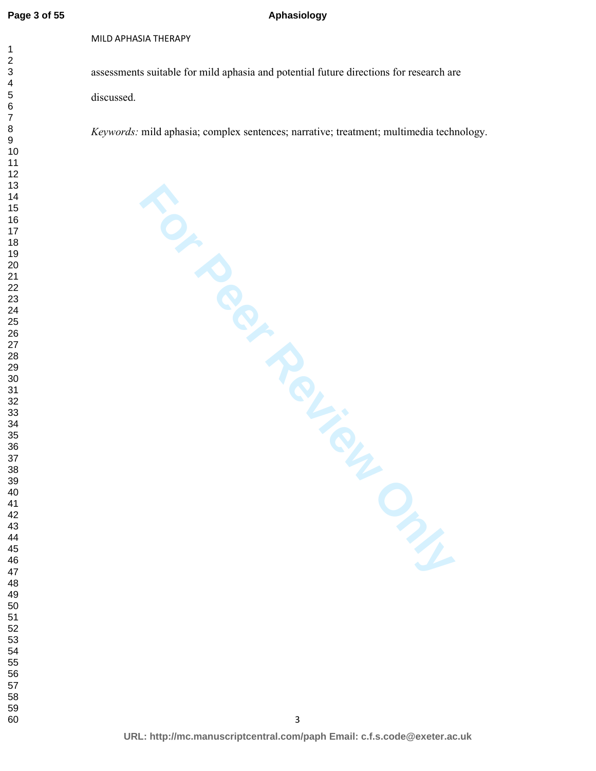#### MILD APHASIA THERAPY

assessments suitable for mild aphasia and potential future directions for research are

discussed.

*Keywords:* mild aphasia; complex sentences; narrative; treatment; multimedia technology.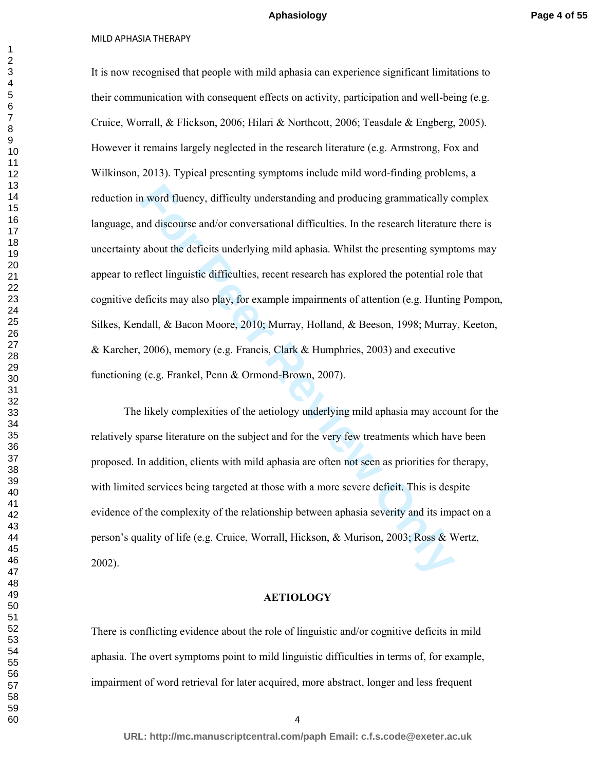m word fluency, difficulty understanding and producing grammatically c<br>and discourse and/or conversational difficulties. In the research literature<br>about the deficits underlying mild aphasia. Whilst the presenting symple<br>f It is now recognised that people with mild aphasia can experience significant limitations to their communication with consequent effects on activity, participation and well-being (e.g. Cruice, Worrall, & Flickson, 2006; Hilari & Northcott, 2006; Teasdale & Engberg, 2005). However it remains largely neglected in the research literature (e.g. Armstrong, Fox and Wilkinson, 2013). Typical presenting symptoms include mild word-finding problems, a reduction in word fluency, difficulty understanding and producing grammatically complex language, and discourse and/or conversational difficulties. In the research literature there is uncertainty about the deficits underlying mild aphasia. Whilst the presenting symptoms may appear to reflect linguistic difficulties, recent research has explored the potential role that cognitive deficits may also play, for example impairments of attention (e.g. Hunting Pompon, Silkes, Kendall, & Bacon Moore, 2010; Murray, Holland, & Beeson, 1998; Murray, Keeton, & Karcher, 2006), memory (e.g. Francis, Clark & Humphries, 2003) and executive functioning (e.g. Frankel, Penn & Ormond-Brown, 2007).

The likely complexities of the aetiology underlying mild aphasia may account for the relatively sparse literature on the subject and for the very few treatments which have been proposed. In addition, clients with mild aphasia are often not seen as priorities for therapy, with limited services being targeted at those with a more severe deficit. This is despite evidence of the complexity of the relationship between aphasia severity and its impact on a person's quality of life (e.g. Cruice, Worrall, Hickson, & Murison, 2003; Ross & Wertz, 2002).

#### **AETIOLOGY**

There is conflicting evidence about the role of linguistic and/or cognitive deficits in mild aphasia. The overt symptoms point to mild linguistic difficulties in terms of, for example, impairment of word retrieval for later acquired, more abstract, longer and less frequent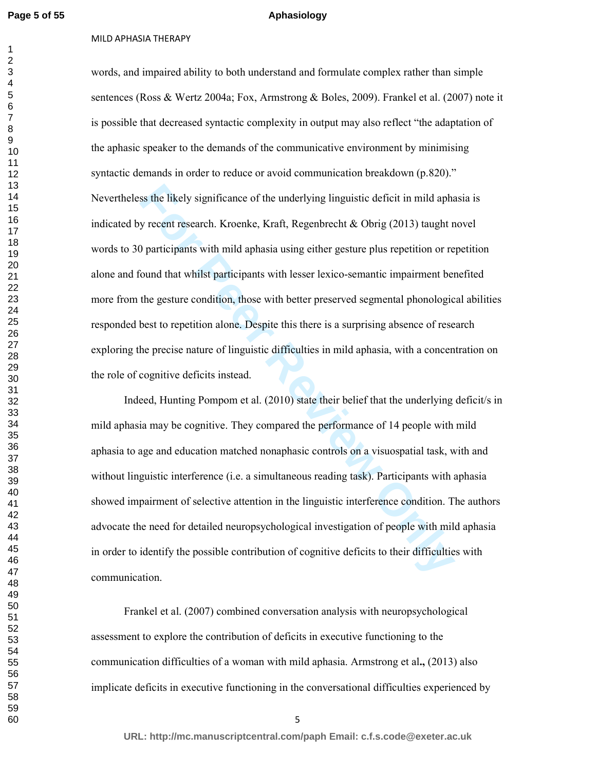#### **Aphasiology**

#### MILD APHASIA THERAPY

is the likely significance of the underlying linguistic deficit in mild apha<br>y recent research. Kroenke, Kraft, Regenbrecht & Obrig (2013) taught n<br>9 participants with mild aphasia using either gesture plus repetition or r words, and impaired ability to both understand and formulate complex rather than simple sentences (Ross & Wertz 2004a; Fox, Armstrong & Boles, 2009). Frankel et al. (2007) note it is possible that decreased syntactic complexity in output may also reflect "the adaptation of the aphasic speaker to the demands of the communicative environment by minimising syntactic demands in order to reduce or avoid communication breakdown (p.820)." Nevertheless the likely significance of the underlying linguistic deficit in mild aphasia is indicated by recent research. Kroenke, Kraft, Regenbrecht & Obrig (2013) taught novel words to 30 participants with mild aphasia using either gesture plus repetition or repetition alone and found that whilst participants with lesser lexico-semantic impairment benefited more from the gesture condition, those with better preserved segmental phonological abilities responded best to repetition alone. Despite this there is a surprising absence of research exploring the precise nature of linguistic difficulties in mild aphasia, with a concentration on the role of cognitive deficits instead.

Indeed, Hunting Pompom et al. (2010) state their belief that the underlying deficit/s in mild aphasia may be cognitive. They compared the performance of 14 people with mild aphasia to age and education matched nonaphasic controls on a visuospatial task, with and without linguistic interference (i.e. a simultaneous reading task). Participants with aphasia showed impairment of selective attention in the linguistic interference condition. The authors advocate the need for detailed neuropsychological investigation of people with mild aphasia in order to identify the possible contribution of cognitive deficits to their difficulties with communication.

Frankel et al. (2007) combined conversation analysis with neuropsychological assessment to explore the contribution of deficits in executive functioning to the communication difficulties of a woman with mild aphasia. Armstrong et al**.,** (2013) also implicate deficits in executive functioning in the conversational difficulties experienced by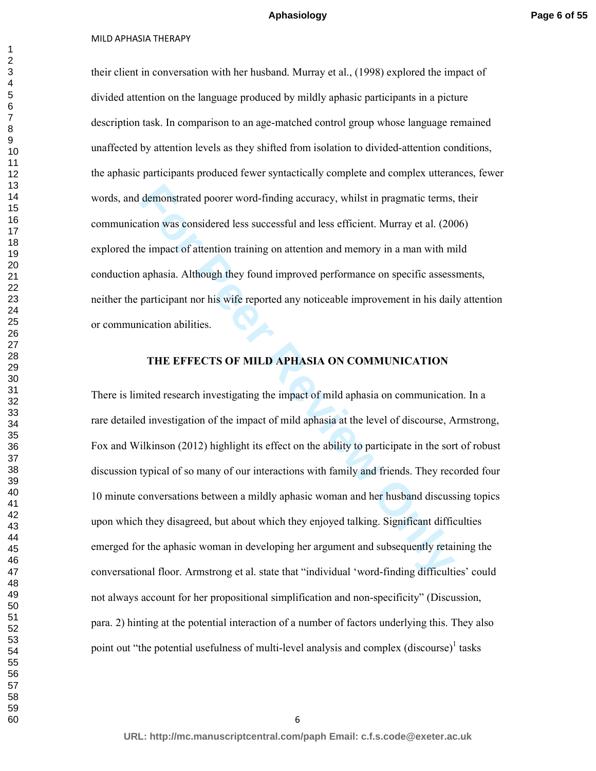their client in conversation with her husband. Murray et al., (1998) explored the impact of divided attention on the language produced by mildly aphasic participants in a picture description task. In comparison to an age-matched control group whose language remained unaffected by attention levels as they shifted from isolation to divided-attention conditions, the aphasic participants produced fewer syntactically complete and complex utterances, fewer words, and demonstrated poorer word-finding accuracy, whilst in pragmatic terms, their communication was considered less successful and less efficient. Murray et al. (2006) explored the impact of attention training on attention and memory in a man with mild conduction aphasia. Although they found improved performance on specific assessments, neither the participant nor his wife reported any noticeable improvement in his daily attention or communication abilities.

#### **THE EFFECTS OF MILD APHASIA ON COMMUNICATION**

demonstrated poorer word-finding accuracy, whilst in pragmatic terms,<br>tion was considered less successful and less efficient. Murray et al. (20<br>
Figure impact of attention training on attention and memory in a man with m<br> There is limited research investigating the impact of mild aphasia on communication. In a rare detailed investigation of the impact of mild aphasia at the level of discourse, Armstrong, Fox and Wilkinson (2012) highlight its effect on the ability to participate in the sort of robust discussion typical of so many of our interactions with family and friends. They recorded four 10 minute conversations between a mildly aphasic woman and her husband discussing topics upon which they disagreed, but about which they enjoyed talking. Significant difficulties emerged for the aphasic woman in developing her argument and subsequently retaining the conversational floor. Armstrong et al. state that "individual 'word-finding difficulties' could not always account for her propositional simplification and non-specificity" (Discussion, para. 2) hinting at the potential interaction of a number of factors underlying this. They also point out "the potential usefulness of multi-level analysis and complex  $(discourse)^{1}$  tasks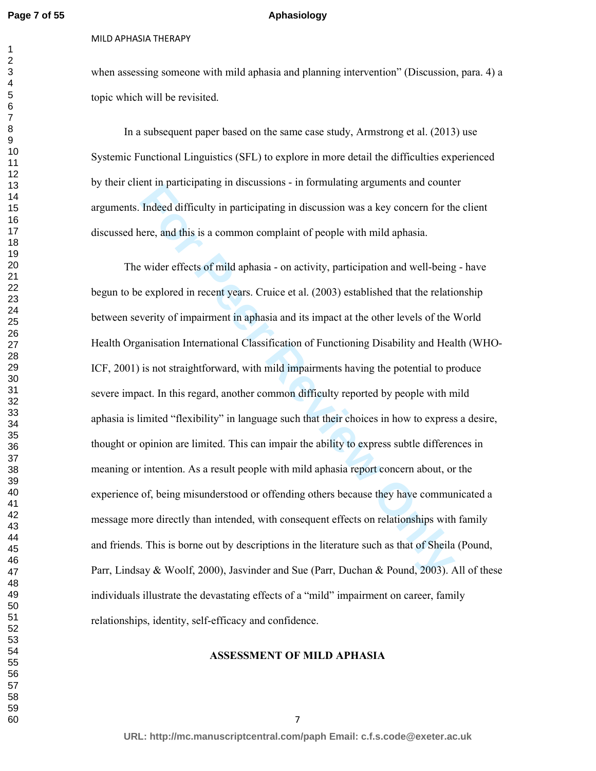#### **Aphasiology**

#### MILD APHASIA THERAPY

when assessing someone with mild aphasia and planning intervention" (Discussion, para. 4) a topic which will be revisited.

In a subsequent paper based on the same case study, Armstrong et al. (2013) use Systemic Functional Linguistics (SFL) to explore in more detail the difficulties experienced by their client in participating in discussions - in formulating arguments and counter arguments. Indeed difficulty in participating in discussion was a key concern for the client discussed here, and this is a common complaint of people with mild aphasia.

In in paracrpanny in discussions - in commaning arguments and counted<br>Indeed difficulty in participating in discussion was a key concern for th<br>rere, and this is a common complaint of people with mild aphasia.<br>
Wider effec The wider effects of mild aphasia - on activity, participation and well-being - have begun to be explored in recent years. Cruice et al. (2003) established that the relationship between severity of impairment in aphasia and its impact at the other levels of the World Health Organisation International Classification of Functioning Disability and Health (WHO-ICF, 2001) is not straightforward, with mild impairments having the potential to produce severe impact. In this regard, another common difficulty reported by people with mild aphasia is limited "flexibility" in language such that their choices in how to express a desire, thought or opinion are limited. This can impair the ability to express subtle differences in meaning or intention. As a result people with mild aphasia report concern about, or the experience of, being misunderstood or offending others because they have communicated a message more directly than intended, with consequent effects on relationships with family and friends. This is borne out by descriptions in the literature such as that of Sheila (Pound, Parr, Lindsay & Woolf, 2000), Jasvinder and Sue (Parr, Duchan & Pound, 2003). All of these individuals illustrate the devastating effects of a "mild" impairment on career, family relationships, identity, self-efficacy and confidence.

#### **ASSESSMENT OF MILD APHASIA**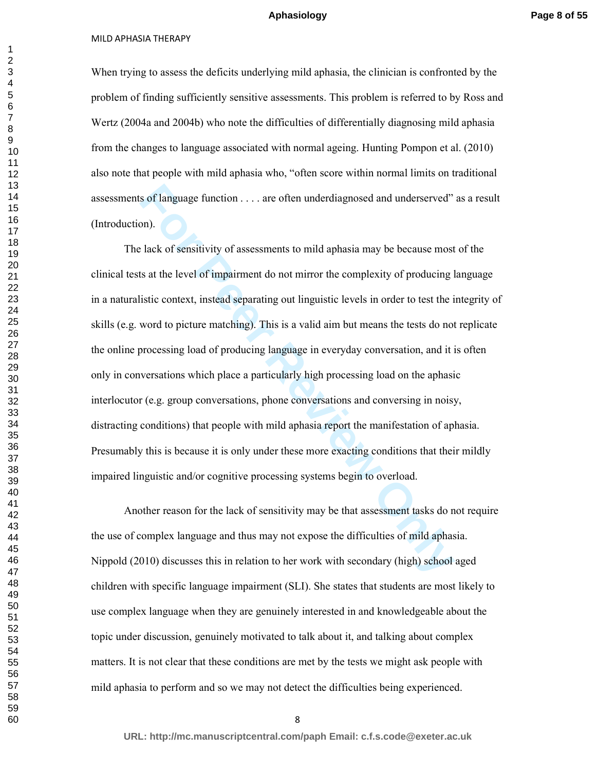#### MILD APHASIA THERAPY

When trying to assess the deficits underlying mild aphasia, the clinician is confronted by the problem of finding sufficiently sensitive assessments. This problem is referred to by Ross and Wertz (2004a and 2004b) who note the difficulties of differentially diagnosing mild aphasia from the changes to language associated with normal ageing. Hunting Pompon et al. (2010) also note that people with mild aphasia who, "often score within normal limits on traditional assessments of language function . . . . are often underdiagnosed and underserved" as a result (Introduction).

**For Solution** *For Solution For Solution ....* The often underdiagnosed and underserved"<br> **For Solution For Solution For Solution For Solution For Solution For Solution For Solution For Solution For Sol** The lack of sensitivity of assessments to mild aphasia may be because most of the clinical tests at the level of impairment do not mirror the complexity of producing language in a naturalistic context, instead separating out linguistic levels in order to test the integrity of skills (e.g. word to picture matching). This is a valid aim but means the tests do not replicate the online processing load of producing language in everyday conversation, and it is often only in conversations which place a particularly high processing load on the aphasic interlocutor (e.g. group conversations, phone conversations and conversing in noisy, distracting conditions) that people with mild aphasia report the manifestation of aphasia. Presumably this is because it is only under these more exacting conditions that their mildly impaired linguistic and/or cognitive processing systems begin to overload.

Another reason for the lack of sensitivity may be that assessment tasks do not require the use of complex language and thus may not expose the difficulties of mild aphasia. Nippold (2010) discusses this in relation to her work with secondary (high) school aged children with specific language impairment (SLI). She states that students are most likely to use complex language when they are genuinely interested in and knowledgeable about the topic under discussion, genuinely motivated to talk about it, and talking about complex matters. It is not clear that these conditions are met by the tests we might ask people with mild aphasia to perform and so we may not detect the difficulties being experienced.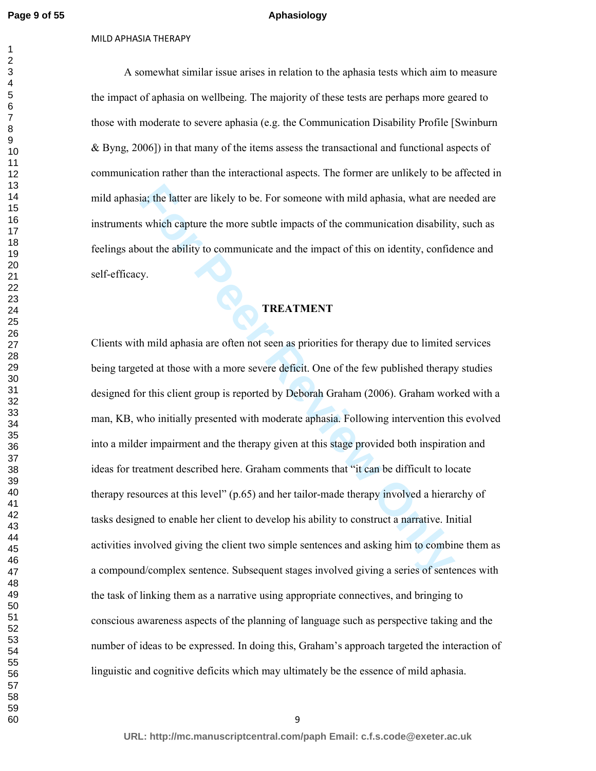#### **Aphasiology**

#### MILD APHASIA THERAPY

A somewhat similar issue arises in relation to the aphasia tests which aim to measure the impact of aphasia on wellbeing. The majority of these tests are perhaps more geared to those with moderate to severe aphasia (e.g. the Communication Disability Profile [Swinburn & Byng, 2006]) in that many of the items assess the transactional and functional aspects of communication rather than the interactional aspects. The former are unlikely to be affected in mild aphasia; the latter are likely to be. For someone with mild aphasia, what are needed are instruments which capture the more subtle impacts of the communication disability, such as feelings about the ability to communicate and the impact of this on identity, confidence and self-efficacy.

# **TREATMENT**

ia; the latter are likely to be. For someone with mild aphasia, what are not with capture the more subtle impacts of the communication disability out the ability to communicate and the impact of this on identity, confident Clients with mild aphasia are often not seen as priorities for therapy due to limited services being targeted at those with a more severe deficit. One of the few published therapy studies designed for this client group is reported by Deborah Graham (2006). Graham worked with a man, KB, who initially presented with moderate aphasia. Following intervention this evolved into a milder impairment and the therapy given at this stage provided both inspiration and ideas for treatment described here. Graham comments that "it can be difficult to locate therapy resources at this level" (p.65) and her tailor-made therapy involved a hierarchy of tasks designed to enable her client to develop his ability to construct a narrative. Initial activities involved giving the client two simple sentences and asking him to combine them as a compound/complex sentence. Subsequent stages involved giving a series of sentences with the task of linking them as a narrative using appropriate connectives, and bringing to conscious awareness aspects of the planning of language such as perspective taking and the number of ideas to be expressed. In doing this, Graham's approach targeted the interaction of linguistic and cognitive deficits which may ultimately be the essence of mild aphasia.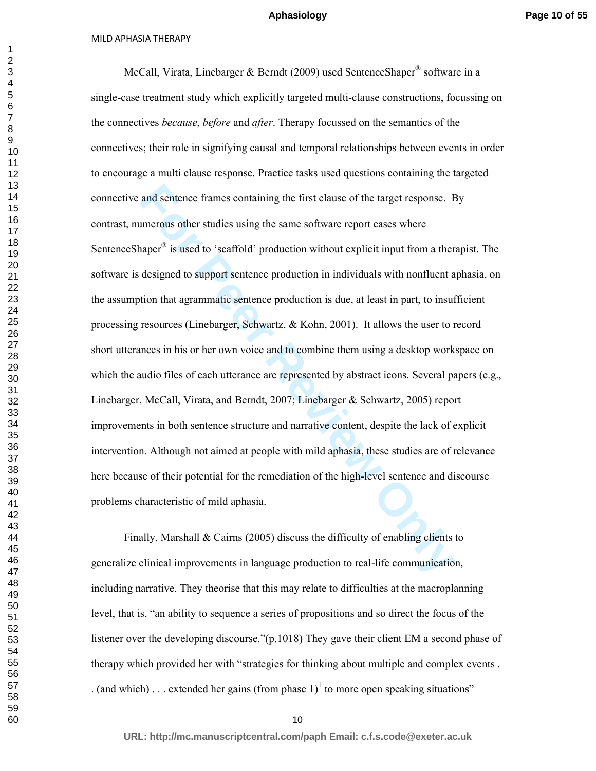and sentence frames containing the first clause of the target response. Furnerous other studies using the same software report cases where apper<sup>®</sup> is used to 'scaffold' production without explicit input from a ther design McCall, Virata, Linebarger & Berndt (2009) used SentenceShaper® software in a single-case treatment study which explicitly targeted multi-clause constructions, focussing on the connectives *because*, *before* and *after*. Therapy focussed on the semantics of the connectives; their role in signifying causal and temporal relationships between events in order to encourage a multi clause response. Practice tasks used questions containing the targeted connective and sentence frames containing the first clause of the target response. By contrast, numerous other studies using the same software report cases where SentenceShaper<sup>®</sup> is used to 'scaffold' production without explicit input from a therapist. The software is designed to support sentence production in individuals with nonfluent aphasia, on the assumption that agrammatic sentence production is due, at least in part, to insufficient processing resources (Linebarger, Schwartz, & Kohn, 2001). It allows the user to record short utterances in his or her own voice and to combine them using a desktop workspace on which the audio files of each utterance are represented by abstract icons. Several papers (e.g., Linebarger, McCall, Virata, and Berndt, 2007; Linebarger & Schwartz, 2005) report improvements in both sentence structure and narrative content, despite the lack of explicit intervention. Although not aimed at people with mild aphasia, these studies are of relevance here because of their potential for the remediation of the high-level sentence and discourse problems characteristic of mild aphasia.

Finally, Marshall & Cairns (2005) discuss the difficulty of enabling clients to generalize clinical improvements in language production to real-life communication, including narrative. They theorise that this may relate to difficulties at the macroplanning level, that is, "an ability to sequence a series of propositions and so direct the focus of the listener over the developing discourse."(p.1018) They gave their client EM a second phase of therapy which provided her with "strategies for thinking about multiple and complex events . . (and which) . . . extended her gains (from phase )<sup>1</sup> to more open speaking situations"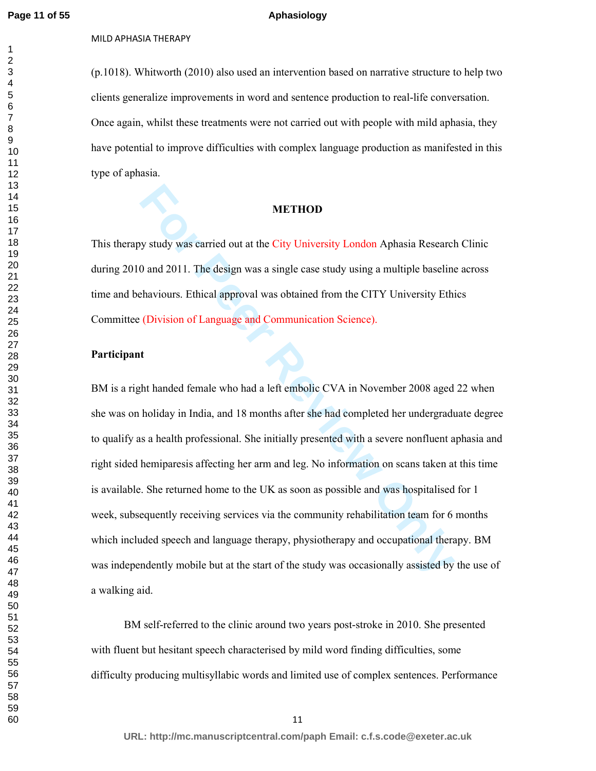#### **Aphasiology**

#### MILD APHASIA THERAPY

(p.1018). Whitworth (2010) also used an intervention based on narrative structure to help two clients generalize improvements in word and sentence production to real-life conversation. Once again, whilst these treatments were not carried out with people with mild aphasia, they have potential to improve difficulties with complex language production as manifested in this type of aphasia.

#### **METHOD**

This therapy study was carried out at the City University London Aphasia Research Clinic during 2010 and 2011. The design was a single case study using a multiple baseline across time and behaviours. Ethical approval was obtained from the CITY University Ethics Committee (Division of Language and Communication Science).

#### **Participant**

**FORTIFOD**<br>**FORTIFOD**<br>**FORTIFO WE ADMOND WAS SET ASSEM UNIVER THE ASSEM OF A DAMONDER SET AND USE A SET AND WE SET ANOTEST UNIVERSITY EXPIRITION:<br>
<b>FORTIFY UNIVERSITY EXPIRITELY**<br> **FORTIFY UNIVERSITY EXPIRITELY**<br> **FORTIFY** BM is a right handed female who had a left embolic CVA in November 2008 aged 22 when she was on holiday in India, and 18 months after she had completed her undergraduate degree to qualify as a health professional. She initially presented with a severe nonfluent aphasia and right sided hemiparesis affecting her arm and leg. No information on scans taken at this time is available. She returned home to the UK as soon as possible and was hospitalised for 1 week, subsequently receiving services via the community rehabilitation team for 6 months which included speech and language therapy, physiotherapy and occupational therapy. BM was independently mobile but at the start of the study was occasionally assisted by the use of a walking aid.

BM self-referred to the clinic around two years post-stroke in 2010. She presented with fluent but hesitant speech characterised by mild word finding difficulties, some difficulty producing multisyllabic words and limited use of complex sentences. Performance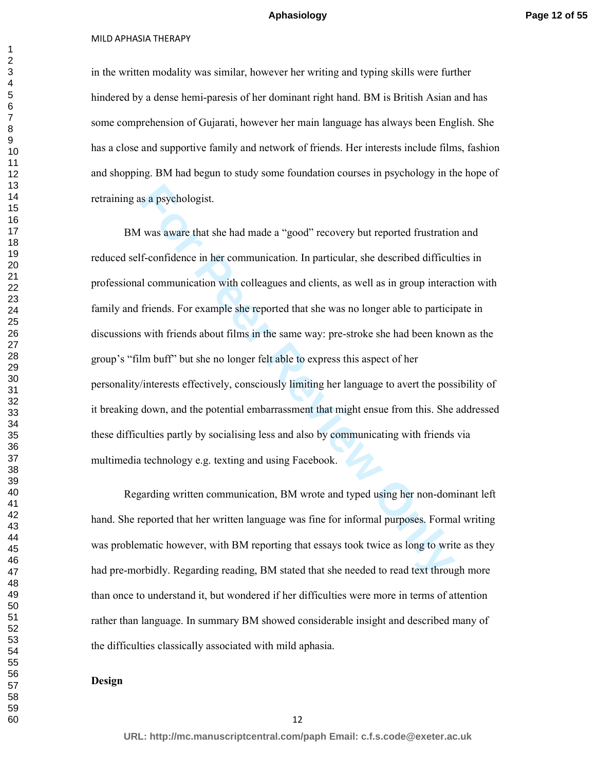in the written modality was similar, however her writing and typing skills were further hindered by a dense hemi-paresis of her dominant right hand. BM is British Asian and has some comprehension of Gujarati, however her main language has always been English. She has a close and supportive family and network of friends. Her interests include films, fashion and shopping. BM had begun to study some foundation courses in psychology in the hope of retraining as a psychologist.

Is a psychologist.<br>
If was aware that she had made a "good" recovery but reported frustration<br>
If-confidence in her communication. In particular, she described difficul<br>
Il communication with colleagues and clients, as wel BM was aware that she had made a "good" recovery but reported frustration and reduced self-confidence in her communication. In particular, she described difficulties in professional communication with colleagues and clients, as well as in group interaction with family and friends. For example she reported that she was no longer able to participate in discussions with friends about films in the same way: pre-stroke she had been known as the group's "film buff" but she no longer felt able to express this aspect of her personality/interests effectively, consciously limiting her language to avert the possibility of it breaking down, and the potential embarrassment that might ensue from this. She addressed these difficulties partly by socialising less and also by communicating with friends via multimedia technology e.g. texting and using Facebook.

Regarding written communication, BM wrote and typed using her non-dominant left hand. She reported that her written language was fine for informal purposes. Formal writing was problematic however, with BM reporting that essays took twice as long to write as they had pre-morbidly. Regarding reading, BM stated that she needed to read text through more than once to understand it, but wondered if her difficulties were more in terms of attention rather than language. In summary BM showed considerable insight and described many of the difficulties classically associated with mild aphasia.

**Design**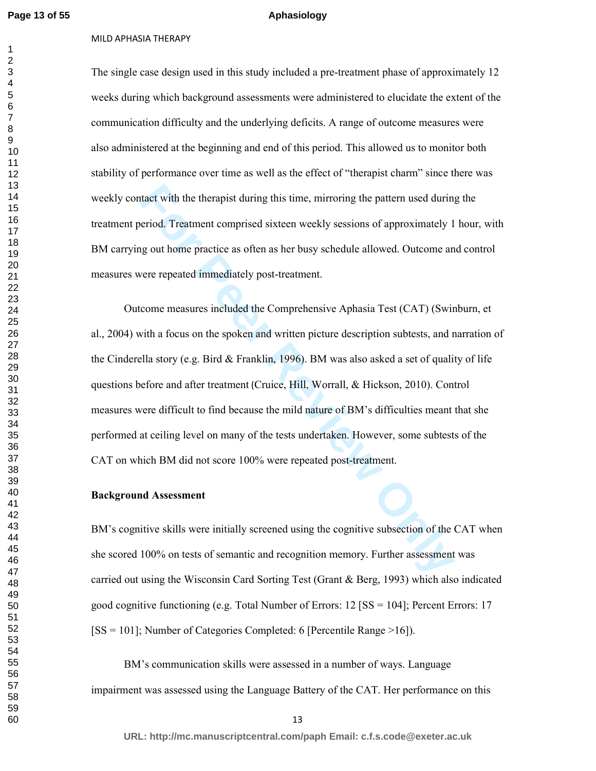#### **Aphasiology**

#### MILD APHASIA THERAPY

The single case design used in this study included a pre-treatment phase of approximately 12 weeks during which background assessments were administered to elucidate the extent of the communication difficulty and the underlying deficits. A range of outcome measures were also administered at the beginning and end of this period. This allowed us to monitor both stability of performance over time as well as the effect of "therapist charm" since there was weekly contact with the therapist during this time, mirroring the pattern used during the treatment period. Treatment comprised sixteen weekly sessions of approximately 1 hour, with BM carrying out home practice as often as her busy schedule allowed. Outcome and control measures were repeated immediately post-treatment.

tact with the therapist during this time, mirroring the pattern used during<br>
For Period. Treatment comprised sixteen weekly sessions of approximately 1<br>
Ig out home practice as often as her busy schedule allowed. Outcome a Outcome measures included the Comprehensive Aphasia Test (CAT) (Swinburn, et al., 2004) with a focus on the spoken and written picture description subtests, and narration of the Cinderella story (e.g. Bird  $&$  Franklin, 1996). BM was also asked a set of quality of life questions before and after treatment (Cruice, Hill, Worrall, & Hickson, 2010). Control measures were difficult to find because the mild nature of BM's difficulties meant that she performed at ceiling level on many of the tests undertaken. However, some subtests of the CAT on which BM did not score 100% were repeated post-treatment.

#### **Background Assessment**

BM's cognitive skills were initially screened using the cognitive subsection of the CAT when she scored 100% on tests of semantic and recognition memory. Further assessment was carried out using the Wisconsin Card Sorting Test (Grant & Berg, 1993) which also indicated good cognitive functioning (e.g. Total Number of Errors: 12 [SS = 104]; Percent Errors: 17 [SS = 101]; Number of Categories Completed: 6 [Percentile Range >16]).

BM's communication skills were assessed in a number of ways. Language impairment was assessed using the Language Battery of the CAT. Her performance on this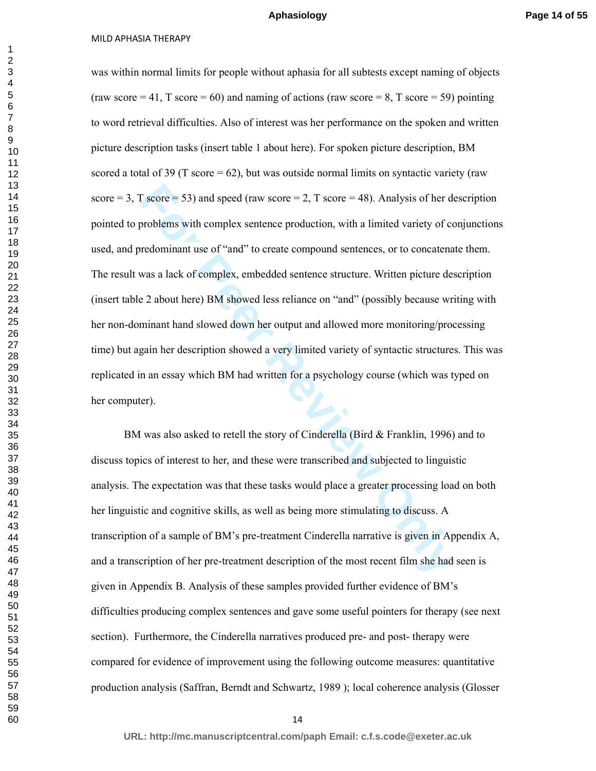**F** score = 53) and speed (raw score = 2, T score = 48). Analysis of her deproblems with complex sentence production, with a limited variety of corredominant use of "and" to create compound sentences, or to concatena was a was within normal limits for people without aphasia for all subtests except naming of objects (raw score  $= 41$ , T score  $= 60$ ) and naming of actions (raw score  $= 8$ , T score  $= 59$ ) pointing to word retrieval difficulties. Also of interest was her performance on the spoken and written picture description tasks (insert table 1 about here). For spoken picture description, BM scored a total of 39 (T score  $= 62$ ), but was outside normal limits on syntactic variety (raw score  $= 3$ , T score  $= 53$ ) and speed (raw score  $= 2$ , T score  $= 48$ ). Analysis of her description pointed to problems with complex sentence production, with a limited variety of conjunctions used, and predominant use of "and" to create compound sentences, or to concatenate them. The result was a lack of complex, embedded sentence structure. Written picture description (insert table 2 about here) BM showed less reliance on "and" (possibly because writing with her non-dominant hand slowed down her output and allowed more monitoring/processing time) but again her description showed a very limited variety of syntactic structures. This was replicated in an essay which BM had written for a psychology course (which was typed on her computer).

BM was also asked to retell the story of Cinderella (Bird & Franklin, 1996) and to discuss topics of interest to her, and these were transcribed and subjected to linguistic analysis. The expectation was that these tasks would place a greater processing load on both her linguistic and cognitive skills, as well as being more stimulating to discuss. A transcription of a sample of BM's pre-treatment Cinderella narrative is given in Appendix A, and a transcription of her pre-treatment description of the most recent film she had seen is given in Appendix B. Analysis of these samples provided further evidence of BM's difficulties producing complex sentences and gave some useful pointers for therapy (see next section). Furthermore, the Cinderella narratives produced pre- and post- therapy were compared for evidence of improvement using the following outcome measures: quantitative production analysis (Saffran, Berndt and Schwartz, 1989 ); local coherence analysis (Glosser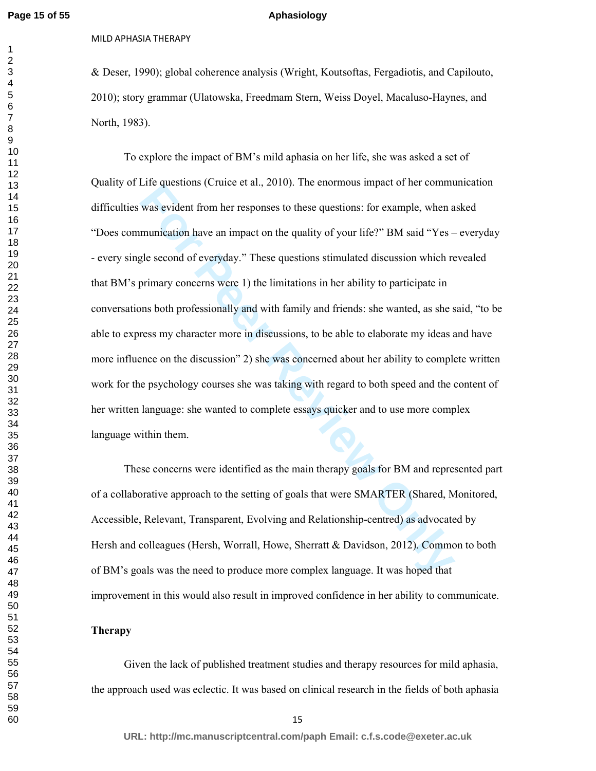# MILD APHASIA THERAPY

& Deser, 1990); global coherence analysis (Wright, Koutsoftas, Fergadiotis, and Capilouto, 2010); story grammar (Ulatowska, Freedmam Stern, Weiss Doyel, Macaluso-Haynes, and North, 1983).

**Aphasiology**

Enc questions (Crucc et al., 2010). The enomiods impact of het comments was evident from her responses to these questions: for example, when a munication have an impact on the quality of your life?" BM said "Yes-gle second To explore the impact of BM's mild aphasia on her life, she was asked a set of Quality of Life questions (Cruice et al., 2010). The enormous impact of her communication difficulties was evident from her responses to these questions: for example, when asked "Does communication have an impact on the quality of your life?" BM said "Yes – everyday - every single second of everyday." These questions stimulated discussion which revealed that BM's primary concerns were 1) the limitations in her ability to participate in conversations both professionally and with family and friends: she wanted, as she said, "to be able to express my character more in discussions, to be able to elaborate my ideas and have more influence on the discussion" 2) she was concerned about her ability to complete written work for the psychology courses she was taking with regard to both speed and the content of her written language: she wanted to complete essays quicker and to use more complex language within them.

These concerns were identified as the main therapy goals for BM and represented part of a collaborative approach to the setting of goals that were SMARTER (Shared, Monitored, Accessible, Relevant, Transparent, Evolving and Relationship-centred) as advocated by Hersh and colleagues (Hersh, Worrall, Howe, Sherratt & Davidson, 2012). Common to both of BM's goals was the need to produce more complex language. It was hoped that improvement in this would also result in improved confidence in her ability to communicate.

### **Therapy**

Given the lack of published treatment studies and therapy resources for mild aphasia, the approach used was eclectic. It was based on clinical research in the fields of both aphasia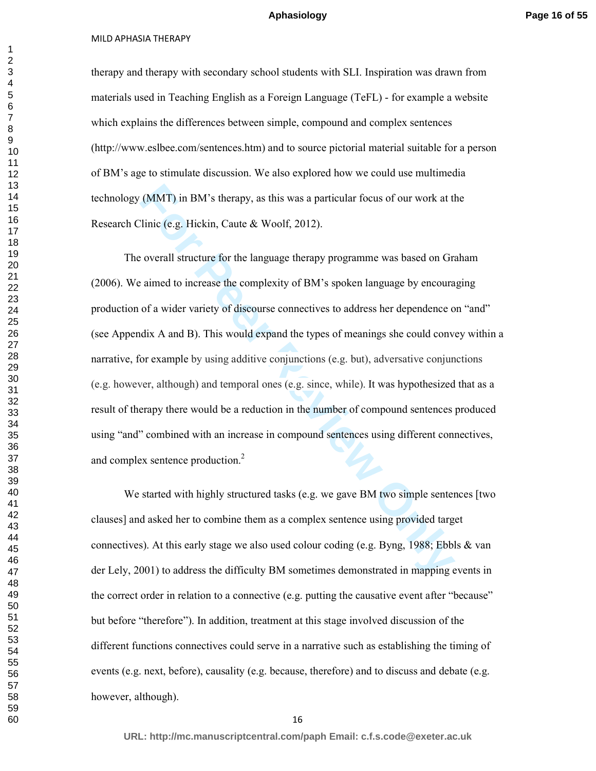therapy and therapy with secondary school students with SLI. Inspiration was drawn from materials used in Teaching English as a Foreign Language (TeFL) - for example a website which explains the differences between simple, compound and complex sentences (http://www.eslbee.com/sentences.htm) and to source pictorial material suitable for a person of BM's age to stimulate discussion. We also explored how we could use multimedia technology (MMT) in BM's therapy, as this was a particular focus of our work at the Research Clinic (e.g. Hickin, Caute & Woolf, 2012).

(MMT) in BM's therapy, as this was a particular focus of our work at the limic (e.g. Hickin, Caute & Woolf, 2012).<br>
Soverall structure for the language therapy programme was based on Gramed to increase the complexity of BM The overall structure for the language therapy programme was based on Graham (2006). We aimed to increase the complexity of BM's spoken language by encouraging production of a wider variety of discourse connectives to address her dependence on "and" (see Appendix A and B). This would expand the types of meanings she could convey within a narrative, for example by using additive conjunctions (e.g. but), adversative conjunctions (e.g. however, although) and temporal ones (e.g. since, while). It was hypothesized that as a result of therapy there would be a reduction in the number of compound sentences produced using "and" combined with an increase in compound sentences using different connectives, and complex sentence production.<sup>2</sup>

We started with highly structured tasks (e.g. we gave BM two simple sentences [two clauses] and asked her to combine them as a complex sentence using provided target connectives). At this early stage we also used colour coding (e.g. Byng, 1988; Ebbls & van der Lely, 2001) to address the difficulty BM sometimes demonstrated in mapping events in the correct order in relation to a connective (e.g. putting the causative event after "because" but before "therefore"). In addition, treatment at this stage involved discussion of the different functions connectives could serve in a narrative such as establishing the timing of events (e.g. next, before), causality (e.g. because, therefore) and to discuss and debate (e.g. however, although).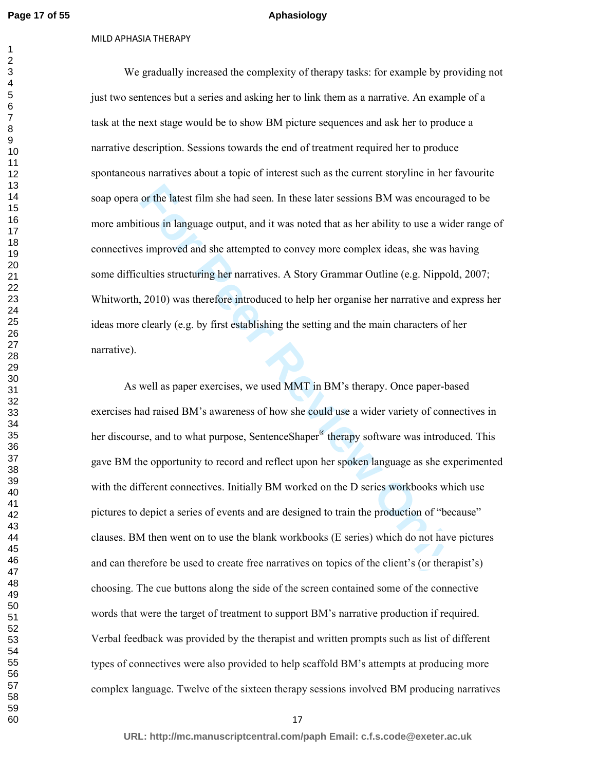#### **Aphasiology**

#### MILD APHASIA THERAPY

We gradually increased the complexity of therapy tasks: for example by providing not just two sentences but a series and asking her to link them as a narrative. An example of a task at the next stage would be to show BM picture sequences and ask her to produce a narrative description. Sessions towards the end of treatment required her to produce spontaneous narratives about a topic of interest such as the current storyline in her favourite soap opera or the latest film she had seen. In these later sessions BM was encouraged to be more ambitious in language output, and it was noted that as her ability to use a wider range of connectives improved and she attempted to convey more complex ideas, she was having some difficulties structuring her narratives. A Story Grammar Outline (e.g. Nippold, 2007; Whitworth, 2010) was therefore introduced to help her organise her narrative and express her ideas more clearly (e.g. by first establishing the setting and the main characters of her narrative).

or the latest film she had seen. In these later sessions BM was encourage<br>tious in language output, and it was noted that as her ability to use a wid<br>s improved and she attempted to convey more complex ideas, she was h<br>ult As well as paper exercises, we used MMT in BM's therapy. Once paper-based exercises had raised BM's awareness of how she could use a wider variety of connectives in her discourse, and to what purpose, SentenceShaper® therapy software was introduced. This gave BM the opportunity to record and reflect upon her spoken language as she experimented with the different connectives. Initially BM worked on the D series workbooks which use pictures to depict a series of events and are designed to train the production of "because" clauses. BM then went on to use the blank workbooks (E series) which do not have pictures and can therefore be used to create free narratives on topics of the client's (or therapist's) choosing. The cue buttons along the side of the screen contained some of the connective words that were the target of treatment to support BM's narrative production if required. Verbal feedback was provided by the therapist and written prompts such as list of different types of connectives were also provided to help scaffold BM's attempts at producing more complex language. Twelve of the sixteen therapy sessions involved BM producing narratives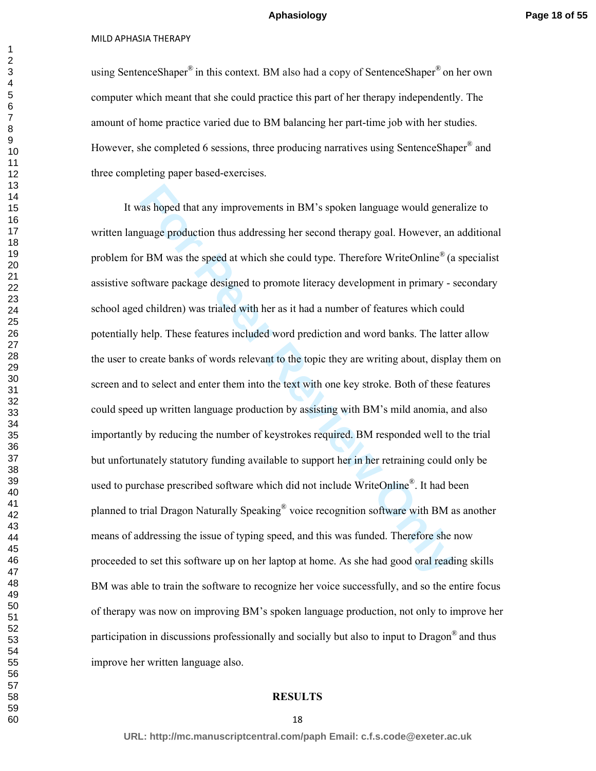#### MILD APHASIA THERAPY

using SentenceShaper® in this context. BM also had a copy of SentenceShaper® on her own computer which meant that she could practice this part of her therapy independently. The amount of home practice varied due to BM balancing her part-time job with her studies. However, she completed 6 sessions, three producing narratives using SentenceShaper<sup>®</sup> and three completing paper based-exercises.

ras hoped that any improvements in BM's spoken language would gener<br>guage production thus addressing her second therapy goal. However, an<br>FBM was the speed at which she could type. Therefore WriteOnline® (a<br>flware package It was hoped that any improvements in BM's spoken language would generalize to written language production thus addressing her second therapy goal. However, an additional problem for BM was the speed at which she could type. Therefore WriteOnline® (a specialist assistive software package designed to promote literacy development in primary - secondary school aged children) was trialed with her as it had a number of features which could potentially help. These features included word prediction and word banks. The latter allow the user to create banks of words relevant to the topic they are writing about, display them on screen and to select and enter them into the text with one key stroke. Both of these features could speed up written language production by assisting with BM's mild anomia, and also importantly by reducing the number of keystrokes required. BM responded well to the trial but unfortunately statutory funding available to support her in her retraining could only be used to purchase prescribed software which did not include WriteOnline®. It had been planned to trial Dragon Naturally Speaking® voice recognition software with BM as another means of addressing the issue of typing speed, and this was funded. Therefore she now proceeded to set this software up on her laptop at home. As she had good oral reading skills BM was able to train the software to recognize her voice successfully, and so the entire focus of therapy was now on improving BM's spoken language production, not only to improve her participation in discussions professionally and socially but also to input to Dragon® and thus improve her written language also.

#### **RESULTS**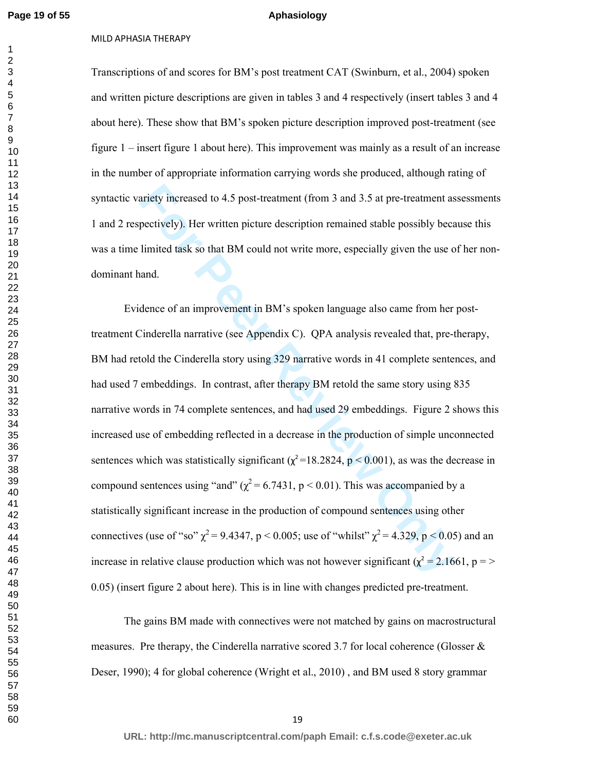#### **Aphasiology**

#### MILD APHASIA THERAPY

Transcriptions of and scores for BM's post treatment CAT (Swinburn, et al., 2004) spoken and written picture descriptions are given in tables 3 and 4 respectively (insert tables 3 and 4 about here). These show that BM's spoken picture description improved post-treatment (see figure 1 – insert figure 1 about here). This improvement was mainly as a result of an increase in the number of appropriate information carrying words she produced, although rating of syntactic variety increased to 4.5 post-treatment (from 3 and 3.5 at pre-treatment assessments 1 and 2 respectively). Her written picture description remained stable possibly because this was a time limited task so that BM could not write more, especially given the use of her nondominant hand.

ariety increased to 4.5 post-treatment (from 3 and 3.5 at pre-treatment as<br>pectively). Her written picture description remained stable possibly beca<br>limited task so that BM could not write more, especially given the use o Evidence of an improvement in BM's spoken language also came from her posttreatment Cinderella narrative (see Appendix C). QPA analysis revealed that, pre-therapy, BM had retold the Cinderella story using 329 narrative words in 41 complete sentences, and had used 7 embeddings. In contrast, after therapy BM retold the same story using 835 narrative words in 74 complete sentences, and had used 29 embeddings. Figure 2 shows this increased use of embedding reflected in a decrease in the production of simple unconnected sentences which was statistically significant ( $\chi^2$ =18.2824, p < 0.001), as was the decrease in compound sentences using "and" ( $\chi^2$  = 6.7431, p < 0.01). This was accompanied by a statistically significant increase in the production of compound sentences using other connectives (use of "so"  $\chi^2$  = 9.4347, p < 0.005; use of "whilst"  $\chi^2$  = 4.329, p < 0.05) and an increase in relative clause production which was not however significant ( $\chi^2$  = 2.1661, p = > 0.05) (insert figure 2 about here). This is in line with changes predicted pre-treatment.

The gains BM made with connectives were not matched by gains on macrostructural measures. Pre therapy, the Cinderella narrative scored 3.7 for local coherence (Glosser  $\&$ Deser, 1990); 4 for global coherence (Wright et al., 2010) , and BM used 8 story grammar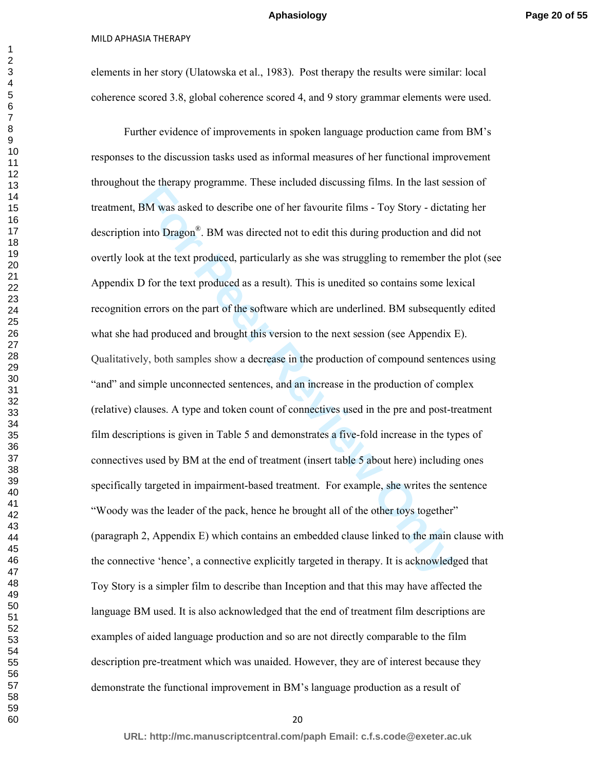elements in her story (Ulatowska et al., 1983). Post therapy the results were similar: local coherence scored 3.8, global coherence scored 4, and 9 story grammar elements were used.

the intrapy programme. These included used ssing mins. In the last sea SBM was asked to describe one of her favourite films - Toy Story - dictat into Dragon<sup>®</sup>. BM was directed not to edit this during production and d k at Further evidence of improvements in spoken language production came from BM's responses to the discussion tasks used as informal measures of her functional improvement throughout the therapy programme. These included discussing films. In the last session of treatment, BM was asked to describe one of her favourite films - Toy Story - dictating her description into Dragon®. BM was directed not to edit this during production and did not overtly look at the text produced, particularly as she was struggling to remember the plot (see Appendix D for the text produced as a result). This is unedited so contains some lexical recognition errors on the part of the software which are underlined. BM subsequently edited what she had produced and brought this version to the next session (see Appendix E). Qualitatively, both samples show a decrease in the production of compound sentences using "and" and simple unconnected sentences, and an increase in the production of complex (relative) clauses. A type and token count of connectives used in the pre and post-treatment film descriptions is given in Table 5 and demonstrates a five-fold increase in the types of connectives used by BM at the end of treatment (insert table 5 about here) including ones specifically targeted in impairment-based treatment. For example, she writes the sentence "Woody was the leader of the pack, hence he brought all of the other toys together" (paragraph 2, Appendix E) which contains an embedded clause linked to the main clause with the connective 'hence', a connective explicitly targeted in therapy. It is acknowledged that Toy Story is a simpler film to describe than Inception and that this may have affected the language BM used. It is also acknowledged that the end of treatment film descriptions are examples of aided language production and so are not directly comparable to the film description pre-treatment which was unaided. However, they are of interest because they demonstrate the functional improvement in BM's language production as a result of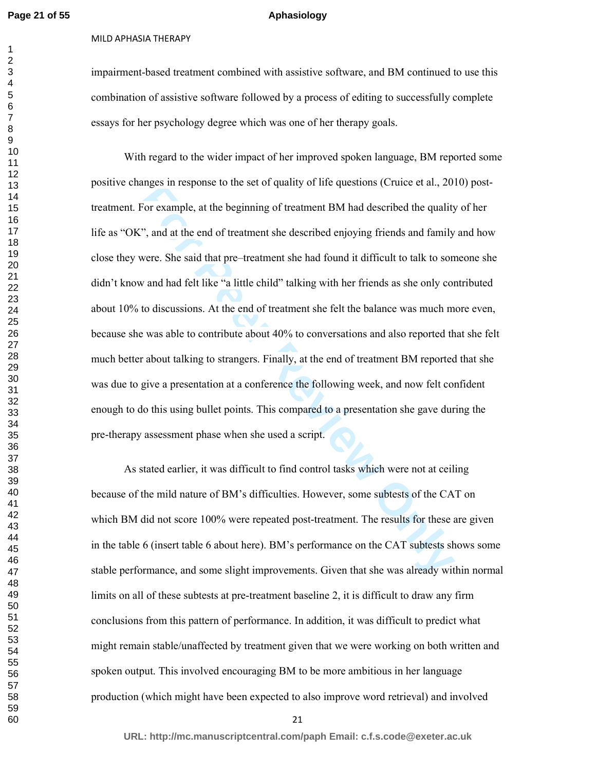#### **Aphasiology**

#### MILD APHASIA THERAPY

impairment-based treatment combined with assistive software, and BM continued to use this combination of assistive software followed by a process of editing to successfully complete essays for her psychology degree which was one of her therapy goals.

For example, at the beginning of treatment BM had described the quality.<sup>27</sup>, and at the end of treatment she described enjoying friends and family were. She said that pre-treatment she had found it difficult to talk to so With regard to the wider impact of her improved spoken language, BM reported some positive changes in response to the set of quality of life questions (Cruice et al., 2010) posttreatment. For example, at the beginning of treatment BM had described the quality of her life as "OK", and at the end of treatment she described enjoying friends and family and how close they were. She said that pre–treatment she had found it difficult to talk to someone she didn't know and had felt like "a little child" talking with her friends as she only contributed about 10% to discussions. At the end of treatment she felt the balance was much more even, because she was able to contribute about 40% to conversations and also reported that she felt much better about talking to strangers. Finally, at the end of treatment BM reported that she was due to give a presentation at a conference the following week, and now felt confident enough to do this using bullet points. This compared to a presentation she gave during the pre-therapy assessment phase when she used a script.

As stated earlier, it was difficult to find control tasks which were not at ceiling because of the mild nature of BM's difficulties. However, some subtests of the CAT on which BM did not score 100% were repeated post-treatment. The results for these are given in the table 6 (insert table 6 about here). BM's performance on the CAT subtests shows some stable performance, and some slight improvements. Given that she was already within normal limits on all of these subtests at pre-treatment baseline 2, it is difficult to draw any firm conclusions from this pattern of performance. In addition, it was difficult to predict what might remain stable/unaffected by treatment given that we were working on both written and spoken output. This involved encouraging BM to be more ambitious in her language production (which might have been expected to also improve word retrieval) and involved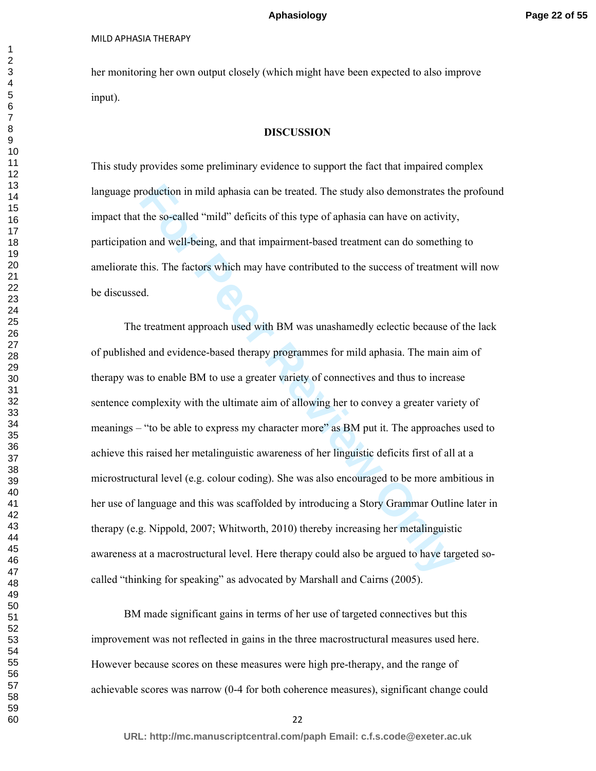her monitoring her own output closely (which might have been expected to also improve input).

#### **DISCUSSION**

This study provides some preliminary evidence to support the fact that impaired complex language production in mild aphasia can be treated. The study also demonstrates the profound impact that the so-called "mild" deficits of this type of aphasia can have on activity, participation and well-being, and that impairment-based treatment can do something to ameliorate this. The factors which may have contributed to the success of treatment will now be discussed.

roduction in mild aphasia can be treated. The study also demonstrates th<br>the so-called "mild" deficits of this type of aphasia can have on activity<br>on and well-being, and that impairment-based treatment can do somethin<br>thi The treatment approach used with BM was unashamedly eclectic because of the lack of published and evidence-based therapy programmes for mild aphasia. The main aim of therapy was to enable BM to use a greater variety of connectives and thus to increase sentence complexity with the ultimate aim of allowing her to convey a greater variety of meanings – "to be able to express my character more" as BM put it. The approaches used to achieve this raised her metalinguistic awareness of her linguistic deficits first of all at a microstructural level (e.g. colour coding). She was also encouraged to be more ambitious in her use of language and this was scaffolded by introducing a Story Grammar Outline later in therapy (e.g. Nippold, 2007; Whitworth, 2010) thereby increasing her metalinguistic awareness at a macrostructural level. Here therapy could also be argued to have targeted socalled "thinking for speaking" as advocated by Marshall and Cairns (2005).

BM made significant gains in terms of her use of targeted connectives but this improvement was not reflected in gains in the three macrostructural measures used here. However because scores on these measures were high pre-therapy, and the range of achievable scores was narrow (0-4 for both coherence measures), significant change could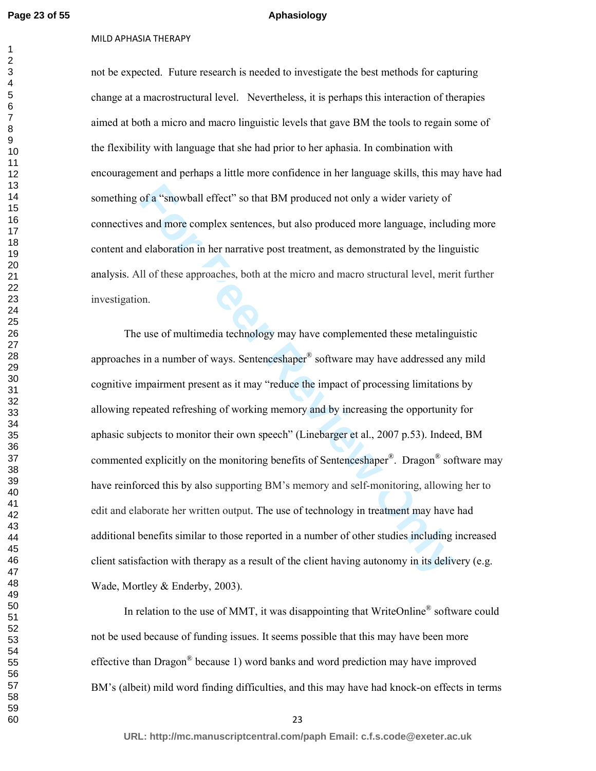#### **Aphasiology**

#### MILD APHASIA THERAPY

not be expected. Future research is needed to investigate the best methods for capturing change at a macrostructural level. Nevertheless, it is perhaps this interaction of therapies aimed at both a micro and macro linguistic levels that gave BM the tools to regain some of the flexibility with language that she had prior to her aphasia. In combination with encouragement and perhaps a little more confidence in her language skills, this may have had something of a "snowball effect" so that BM produced not only a wider variety of connectives and more complex sentences, but also produced more language, including more content and elaboration in her narrative post treatment, as demonstrated by the linguistic analysis. All of these approaches, both at the micro and macro structural level, merit further investigation.

of a "snowball effect" so that BM produced not only a wider variety of<br>s and more complex sentences, but also produced more language, includ<br>elaboration in her narrative post treatment, as demonstrated by the ling<br>Il of th The use of multimedia technology may have complemented these metalinguistic approaches in a number of ways. Sentenceshaper® software may have addressed any mild cognitive impairment present as it may "reduce the impact of processing limitations by allowing repeated refreshing of working memory and by increasing the opportunity for aphasic subjects to monitor their own speech" (Linebarger et al., 2007 p.53). Indeed, BM commented explicitly on the monitoring benefits of Sentenceshaper<sup>®</sup>. Dragon<sup>®</sup> software may have reinforced this by also supporting BM's memory and self-monitoring, allowing her to edit and elaborate her written output. The use of technology in treatment may have had additional benefits similar to those reported in a number of other studies including increased client satisfaction with therapy as a result of the client having autonomy in its delivery (e.g. Wade, Mortley & Enderby, 2003).

In relation to the use of MMT, it was disappointing that WriteOnline® software could not be used because of funding issues. It seems possible that this may have been more effective than Dragon® because 1) word banks and word prediction may have improved BM's (albeit) mild word finding difficulties, and this may have had knock-on effects in terms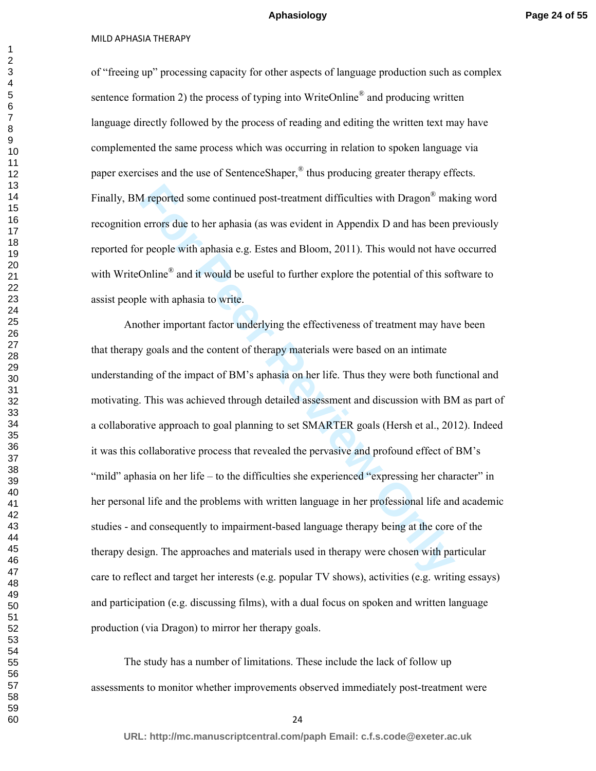of "freeing up" processing capacity for other aspects of language production such as complex sentence formation 2) the process of typing into WriteOnline® and producing written language directly followed by the process of reading and editing the written text may have complemented the same process which was occurring in relation to spoken language via paper exercises and the use of SentenceShaper,<sup>®</sup> thus producing greater therapy effects. Finally, BM reported some continued post-treatment difficulties with Dragon® making word recognition errors due to her aphasia (as was evident in Appendix D and has been previously reported for people with aphasia e.g. Estes and Bloom, 2011). This would not have occurred with WriteOnline<sup>®</sup> and it would be useful to further explore the potential of this software to assist people with aphasia to write.

*A* reported some continued post-treatment difficulties with Dragon<sup>®</sup> makerrors due to her aphasia (as was evident in Appendix D and has been p recople with aphasia e.g. Estes and Bloom, 2011). This would not have Online<sup></sup> Another important factor underlying the effectiveness of treatment may have been that therapy goals and the content of therapy materials were based on an intimate understanding of the impact of BM's aphasia on her life. Thus they were both functional and motivating. This was achieved through detailed assessment and discussion with BM as part of a collaborative approach to goal planning to set SMARTER goals (Hersh et al., 2012). Indeed it was this collaborative process that revealed the pervasive and profound effect of BM's "mild" aphasia on her life – to the difficulties she experienced "expressing her character" in her personal life and the problems with written language in her professional life and academic studies - and consequently to impairment-based language therapy being at the core of the therapy design. The approaches and materials used in therapy were chosen with particular care to reflect and target her interests (e.g. popular TV shows), activities (e.g. writing essays) and participation (e.g. discussing films), with a dual focus on spoken and written language production (via Dragon) to mirror her therapy goals.

The study has a number of limitations. These include the lack of follow up assessments to monitor whether improvements observed immediately post-treatment were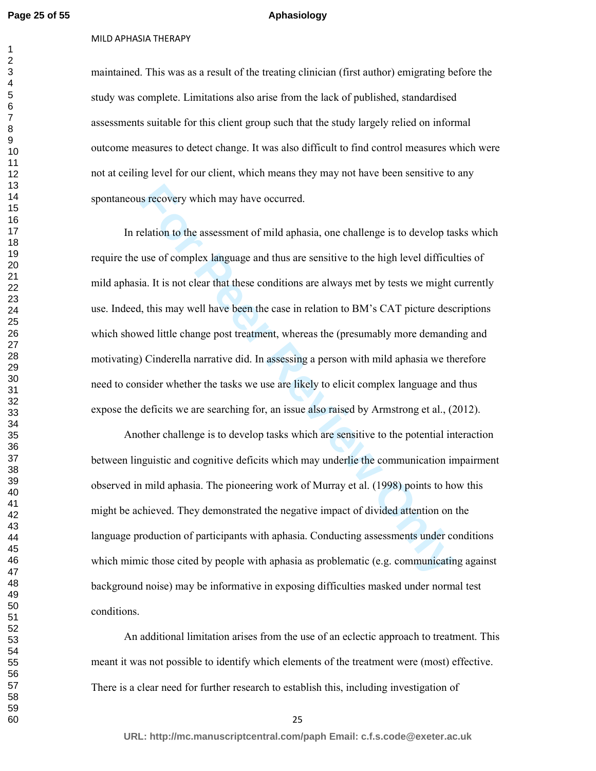#### **Aphasiology**

#### MILD APHASIA THERAPY

maintained. This was as a result of the treating clinician (first author) emigrating before the study was complete. Limitations also arise from the lack of published, standardised assessments suitable for this client group such that the study largely relied on informal outcome measures to detect change. It was also difficult to find control measures which were not at ceiling level for our client, which means they may not have been sensitive to any spontaneous recovery which may have occurred.

In the assessment of mild aphasia, one challenge is to develop take of complex language and thus are sensitive to the high level difficul<br>a. It is not clear that these conditions are always met by tests we might i.<br>a. It i In relation to the assessment of mild aphasia, one challenge is to develop tasks which require the use of complex language and thus are sensitive to the high level difficulties of mild aphasia. It is not clear that these conditions are always met by tests we might currently use. Indeed, this may well have been the case in relation to BM's CAT picture descriptions which showed little change post treatment, whereas the (presumably more demanding and motivating) Cinderella narrative did. In assessing a person with mild aphasia we therefore need to consider whether the tasks we use are likely to elicit complex language and thus expose the deficits we are searching for, an issue also raised by Armstrong et al., (2012).

Another challenge is to develop tasks which are sensitive to the potential interaction between linguistic and cognitive deficits which may underlie the communication impairment observed in mild aphasia. The pioneering work of Murray et al. (1998) points to how this might be achieved. They demonstrated the negative impact of divided attention on the language production of participants with aphasia. Conducting assessments under conditions which mimic those cited by people with aphasia as problematic (e.g. communicating against background noise) may be informative in exposing difficulties masked under normal test conditions.

An additional limitation arises from the use of an eclectic approach to treatment. This meant it was not possible to identify which elements of the treatment were (most) effective. There is a clear need for further research to establish this, including investigation of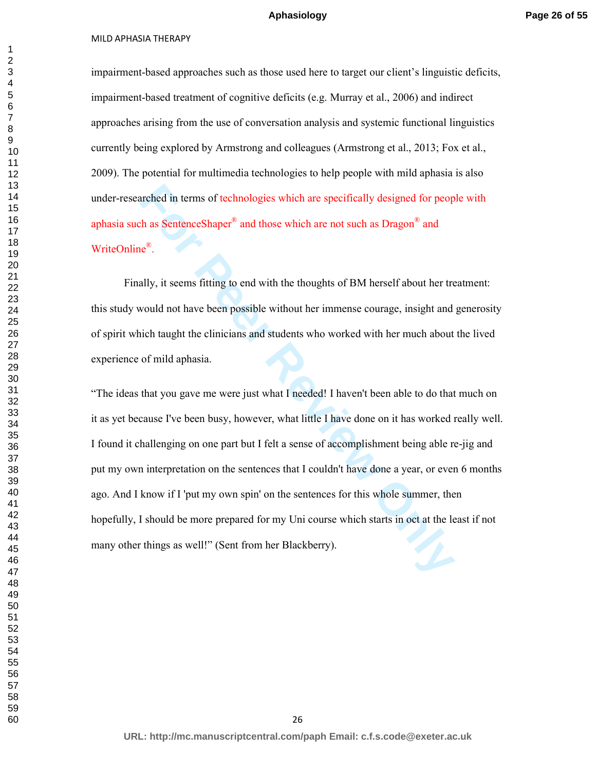impairment-based approaches such as those used here to target our client's linguistic deficits, impairment-based treatment of cognitive deficits (e.g. Murray et al., 2006) and indirect approaches arising from the use of conversation analysis and systemic functional linguistics currently being explored by Armstrong and colleagues (Armstrong et al., 2013; Fox et al., 2009). The potential for multimedia technologies to help people with mild aphasia is also under-researched in terms of technologies which are specifically designed for people with aphasia such as SentenceShaper® and those which are not such as Dragon® and WriteOnline® .

Finally, it seems fitting to end with the thoughts of BM herself about her treatment: this study would not have been possible without her immense courage, insight and generosity of spirit which taught the clinicians and students who worked with her much about the lived experience of mild aphasia.

arched in terms of technologies which are specifically designed for peop<br>h as SentenceShaper<sup>®</sup> and those which are not such as Dragon<sup>®</sup> and<br>re<sup>®</sup>.<br>ally, it seems fitting to end with the thoughts of BM herself about her t "The ideas that you gave me were just what I needed! I haven't been able to do that much on it as yet because I've been busy, however, what little I have done on it has worked really well. I found it challenging on one part but I felt a sense of accomplishment being able re-jig and put my own interpretation on the sentences that I couldn't have done a year, or even 6 months ago. And I know if I 'put my own spin' on the sentences for this whole summer, then hopefully, I should be more prepared for my Uni course which starts in oct at the least if not many other things as well!" (Sent from her Blackberry).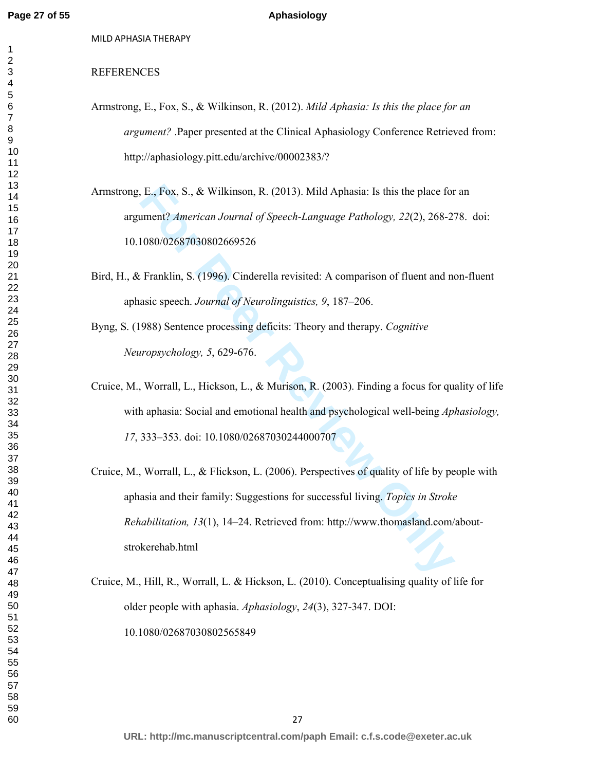#### **Aphasiology**

#### REFERENCES

- Armstrong, E., Fox, S., & Wilkinson, R. (2012). *Mild Aphasia: Is this the place for an argument?* .Paper presented at the Clinical Aphasiology Conference Retrieved from: http://aphasiology.pitt.edu/archive/00002383/?
- Armstrong, E., Fox, S., & Wilkinson, R. (2013). Mild Aphasia: Is this the place for an argument? *American Journal of Speech-Language Pathology, 22*(2), 268-278. doi: 10.1080/02687030802669526
- Bird, H., & Franklin, S. (1996). Cinderella revisited: A comparison of fluent and non-fluent aphasic speech. *Journal of Neurolinguistics, 9*, 187–206.

Byng, S. (1988) Sentence processing deficits: Theory and therapy. *Cognitive Neuropsychology, 5*, 629-676.

Cruice, M., Worrall, L., Hickson, L., & Murison, R. (2003). Finding a focus for quality of life with aphasia: Social and emotional health and psychological well-being *Aphasiology,*  , 333–353. doi: 10.1080/02687030244000707

E., Fox, S., & Wilkinson, R. (2013). Mild Aphasia: Is this the place for ument? *American Journal of Speech-Language Pathology*, 22(2), 268-2<sup>7</sup><br>1080/02687030802669526<br>Franklin, S. (1996). Cinderella revisited: A compariso Cruice, M., Worrall, L., & Flickson, L. (2006). Perspectives of quality of life by people with aphasia and their family: Suggestions for successful living. *Topics in Stroke Rehabilitation, 13*(1), 14–24. Retrieved from: http://www.thomasland.com/aboutstrokerehab.html

Cruice, M., Hill, R., Worrall, L. & Hickson, L. (2010). Conceptualising quality of life for older people with aphasia. *Aphasiology*, *24*(3), 327-347. DOI: 10.1080/02687030802565849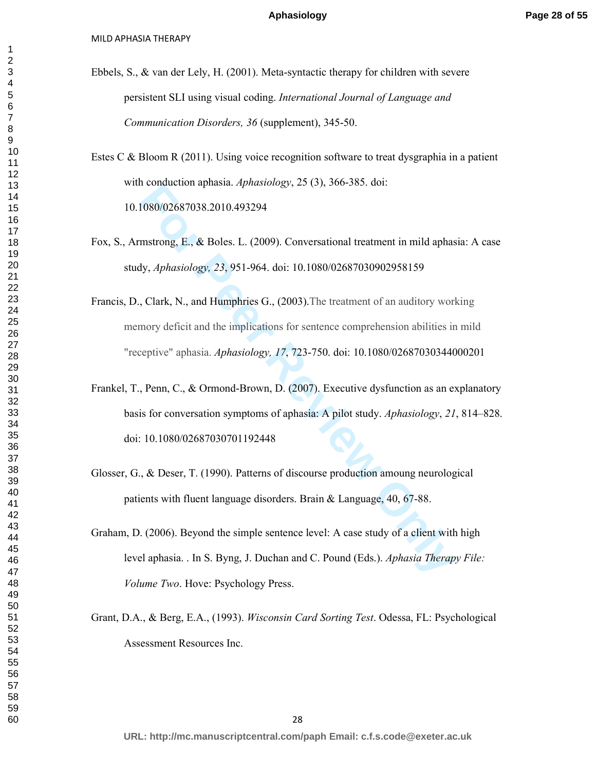- Ebbels, S., & van der Lely, H. (2001). Meta-syntactic therapy for children with severe persistent SLI using visual coding. *International Journal of Language and Communication Disorders, 36* (supplement), 345-50.
- Estes C & Bloom R (2011). Using voice recognition software to treat dysgraphia in a patient with conduction aphasia. *Aphasiology*, 25 (3), 366-385. doi: 10.1080/02687038.2010.493294
- Fox, S., Armstrong, E., & Boles. L. (2009). Conversational treatment in mild aphasia: A case study, *Aphasiology, 23*, 951-964. doi: 10.1080/02687030902958159
- Francis, D., Clark, N., and Humphries G., (2003).The treatment of an auditory working memory deficit and the implications for sentence comprehension abilities in mild "receptive" aphasia. *Aphasiology, 17*, 723-750. doi: 10.1080/02687030344000201
- **For Periodic Application** application application application applications and the URBO/02687038.2010.493294<br> **For Peer Review Only 2010** Applications Interactional treatment in mild aphasively, E., & Boles. L. (2009). Co Frankel, T., Penn, C., & Ormond-Brown, D. (2007). Executive dysfunction as an explanatory basis for conversation symptoms of aphasia: A pilot study. *Aphasiology*, *21*, 814–828. doi: 10.1080/02687030701192448
- Glosser, G., & Deser, T. (1990). Patterns of discourse production amoung neurological patients with fluent language disorders. Brain & Language, 40, 67-88.
- Graham, D. (2006). Beyond the simple sentence level: A case study of a client with high level aphasia. . In S. Byng, J. Duchan and C. Pound (Eds.). *Aphasia Therapy File: Volume Two*. Hove: Psychology Press.
- Grant, D.A., & Berg, E.A., (1993). *Wisconsin Card Sorting Test*. Odessa, FL: Psychological Assessment Resources Inc.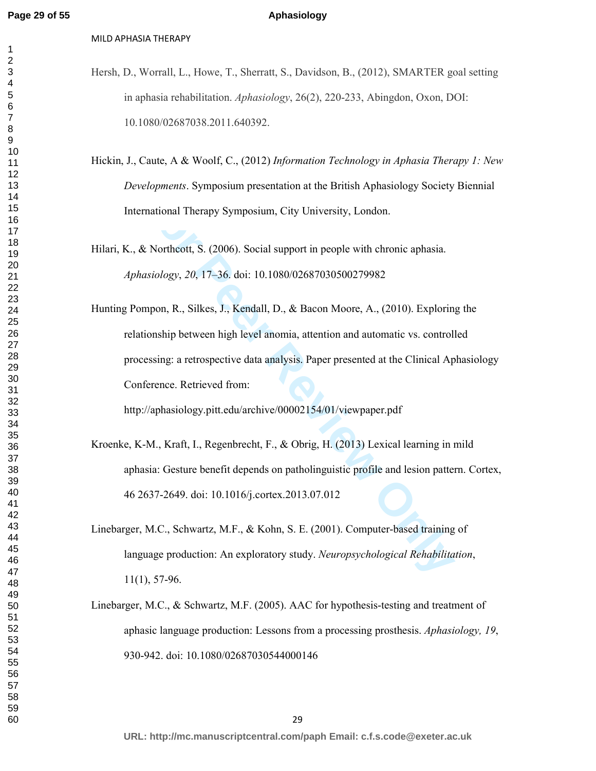#### **Aphasiology**

#### MILD APHASIA THERAPY

- Hersh, D., Worrall, L., Howe, T., Sherratt, S., Davidson, B., (2012), SMARTER goal setting in aphasia rehabilitation. *Aphasiology*, 26(2), 220-233, Abingdon, Oxon, DOI: 10.1080/02687038.2011.640392.
- Hickin, J., Caute, A & Woolf, C., (2012) *Information Technology in Aphasia Therapy 1: New Developments*. Symposium presentation at the British Aphasiology Society Biennial International Therapy Symposium, City University, London.

Hilari, K., & Northcott, S. (2006). Social support in people with chronic aphasia. *Aphasiology*, *20*, 17–36. doi: 10.1080/02687030500279982

*Elopments.* Symposium presentation at the British Aphasiology Society<br>
Fractional Therapy Symposium, City University, London.<br>
& Northeott, S. (2006). Social support in people with chronic aphasia.<br> *Fasiology*, 20, 17–36 Hunting Pompon, R., Silkes, J., Kendall, D., & Bacon Moore, A., (2010). Exploring the relationship between high level anomia, attention and automatic vs. controlled processing: a retrospective data analysis. Paper presented at the Clinical Aphasiology Conference. Retrieved from:

http://aphasiology.pitt.edu/archive/00002154/01/viewpaper.pdf

- Kroenke, K-M., Kraft, I., Regenbrecht, F., & Obrig, H. (2013) Lexical learning in mild aphasia: Gesture benefit depends on patholinguistic profile and lesion pattern. Cortex, 46 2637-2649. doi: 10.1016/j.cortex.2013.07.012
- Linebarger, M.C., Schwartz, M.F., & Kohn, S. E. (2001). Computer-based training of language production: An exploratory study. *Neuropsychological Rehabilitation*, 11(1), 57-96.
- Linebarger, M.C., & Schwartz, M.F. (2005). AAC for hypothesis-testing and treatment of aphasic language production: Lessons from a processing prosthesis. *Aphasiology, 19*, 930-942. doi: 10.1080/02687030544000146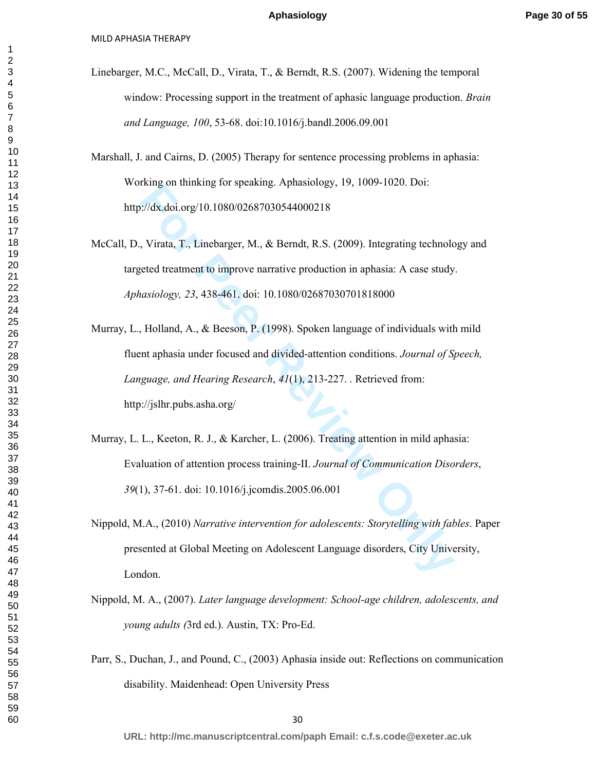- Linebarger, M.C., McCall, D., Virata, T., & Berndt, R.S. (2007). Widening the temporal window: Processing support in the treatment of aphasic language production. *Brain and Language, 100*, 53-68. doi:10.1016/j.bandl.2006.09.001
- Marshall, J. and Cairns, D. (2005) Therapy for sentence processing problems in aphasia: Working on thinking for speaking. Aphasiology, 19, 1009-1020. Doi: http://dx.doi.org/10.1080/02687030544000218
- McCall, D., Virata, T., Linebarger, M., & Berndt, R.S. (2009). Integrating technology and targeted treatment to improve narrative production in aphasia: A case study. *Aphasiology, 23*, 438-461. doi: 10.1080/02687030701818000
- **For Peer Review Only 2013** Constants, Applessionly, 19, 1009-1020. Doi:<br>
For Peer Review Only 10.1080/02687030544000218<br>
For Peerating technology, 19, 1009-1020. Doi:<br>
For Peer Review Only and Review Production in aphasia Murray, L., Holland, A., & Beeson, P. (1998). Spoken language of individuals with mild fluent aphasia under focused and divided-attention conditions. *Journal of Speech, Language, and Hearing Research*, *41*(1), 213-227. . Retrieved from: http://jslhr.pubs.asha.org/
- Murray, L. L., Keeton, R. J., & Karcher, L. (2006). Treating attention in mild aphasia: Evaluation of attention process training-II. *Journal of Communication Disorders*, (1), 37-61. doi: 10.1016/j.jcomdis.2005.06.001
- Nippold, M.A., (2010) *Narrative intervention for adolescents: Storytelling with fables*. Paper presented at Global Meeting on Adolescent Language disorders, City University, London.
- Nippold, M. A., (2007). *Later language development: School-age children, adolescents, and young adults (*3rd ed.). Austin, TX: Pro-Ed.
- Parr, S., Duchan, J., and Pound, C., (2003) Aphasia inside out: Reflections on communication disability. Maidenhead: Open University Press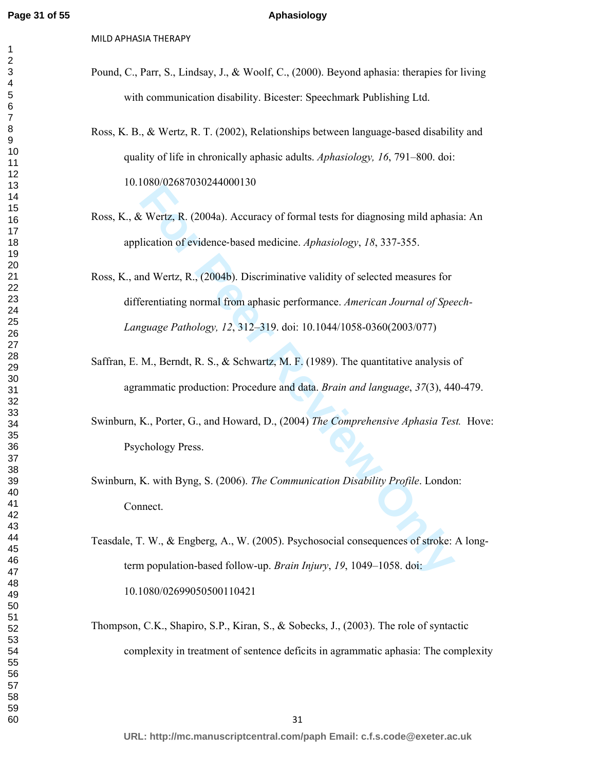#### **Aphasiology**

#### MILD APHASIA THERAPY

- Pound, C., Parr, S., Lindsay, J., & Woolf, C., (2000). Beyond aphasia: therapies for living with communication disability. Bicester: Speechmark Publishing Ltd.
- Ross, K. B., & Wertz, R. T. (2002), Relationships between language-based disability and quality of life in chronically aphasic adults. *Aphasiology, 16*, 791–800. doi: 10.1080/02687030244000130
- Ross, K., & Wertz, R. (2004a). Accuracy of formal tests for diagnosing mild aphasia: An application of evidence‐based medicine. *Aphasiology*, *18*, 337-355.
- **Example 10.1 Accuracy of formal tests for diagnosing mild aphastication of evidence-based medicine.** *Aphasiology***, 18, 337-355.<br>
Ind Wertz, R., (2004b). Discriminative validity of selected measures for<br>
Ferentiating norma** Ross, K., and Wertz, R., (2004b). Discriminative validity of selected measures for differentiating normal from aphasic performance. *American Journal of Speech-Language Pathology, 12*, 312–319. doi: 10.1044/1058-0360(2003/077)
- Saffran, E. M., Berndt, R. S., & Schwartz, M. F. (1989). The quantitative analysis of agrammatic production: Procedure and data. *Brain and language*, *37*(3), 440-479.
- Swinburn, K., Porter, G., and Howard, D., (2004) *The Comprehensive Aphasia Test.* Hove: Psychology Press.
- Swinburn, K. with Byng, S. (2006). *The Communication Disability Profile*. London: Connect.
- Teasdale, T. W., & Engberg, A., W. (2005). Psychosocial consequences of stroke: A longterm population-based follow-up. *Brain Injury*, *19*, 1049–1058. doi: 10.1080/02699050500110421
- Thompson, C.K., Shapiro, S.P., Kiran, S., & Sobecks, J., (2003). The role of syntactic complexity in treatment of sentence deficits in agrammatic aphasia: The complexity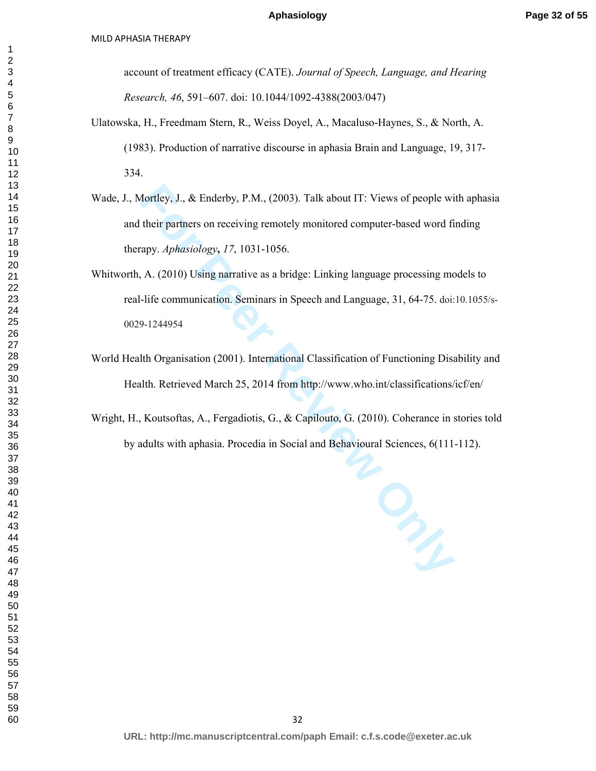account of treatment efficacy (CATE). *Journal of Speech, Language, and Hearing Research, 46*, 591–607. doi: 10.1044/1092-4388(2003/047)

- Ulatowska, H., Freedmam Stern, R., Weiss Doyel, A., Macaluso-Haynes, S., & North, A. (1983). Production of narrative discourse in aphasia Brain and Language, 19, 317- 334.
- Wade, J., Mortley, J., & Enderby, P.M., (2003). Talk about IT: Views of people with aphasia and their partners on receiving remotely monitored computer-based word finding therapy. *Aphasiology***,** *17*, 1031-1056.
- Whitworth, A. (2010) Using narrative as a bridge: Linking language processing models to real-life communication. Seminars in Speech and Language, 31, 64-75. doi:10.1055/s-0029-1244954
- World Health Organisation (2001). International Classification of Functioning Disability and Health. Retrieved March 25, 2014 from http://www.who.int/classifications/icf/en/
- **For Peer Review Only** Wright, H., Koutsoftas, A., Fergadiotis, G., & Capilouto, G. (2010). Coherance in stories told by adults with aphasia. Procedia in Social and Behavioural Sciences, 6(111-112).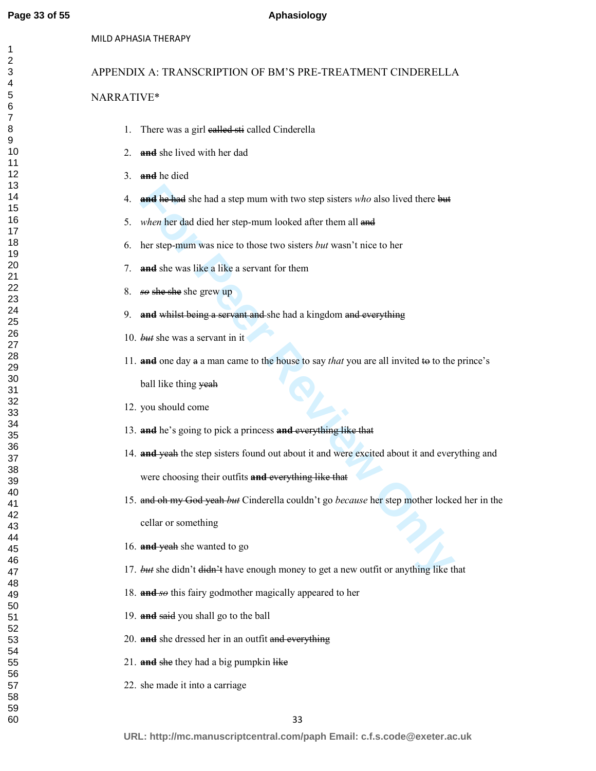#### **Aphasiology**

#### MILD APHASIA THERAPY

# APPENDIX A: TRANSCRIPTION OF BM'S PRE-TREATMENT CINDERELLA NARRATIVE\*

- 1. There was a girl called sti called Cinderella
- 2. **and** she lived with her dad
- 3. **and** he died
- 4. **and** he had she had a step mum with two step sisters *who* also lived there but
- 5. *when* her dad died her step-mum looked after them all and
- 6. her step-mum was nice to those two sisters *but* wasn't nice to her
- 7. **and** she was like a like a servant for them
- 8. *so* she she she grew up
- 9. **and** whilst being a servant and she had a kingdom and everything
- 10. *but* she was a servant in it
- **Example 18** and a step mum with two step sisters *who* also lived there but *when* her dad died her step-mum looked after them all and<br>her step-mum was nice to those two sisters *but* wasn't nice to her<br>**and** she was like 11. **and** one day a a man came to the house to say *that* you are all invited to to the prince's ball like thing yeah
- 12. you should come
- 13. **and** he's going to pick a princess **and** everything like that
- 14. **and** yeah the step sisters found out about it and were excited about it and everything and were choosing their outfits **and** everything like that
- 15. and oh my God yeah *but* Cinderella couldn't go *because* her step mother locked her in the cellar or something
- 16. **and** yeah she wanted to go
- 17. *but* she didn't didn't have enough money to get a new outfit or anything like that
- 18. **and** *so* this fairy godmother magically appeared to her
- 19. **and** said you shall go to the ball
- 20. **and** she dressed her in an outfit and everything
- 21. **and** she they had a big pumpkin like
- 22. she made it into a carriage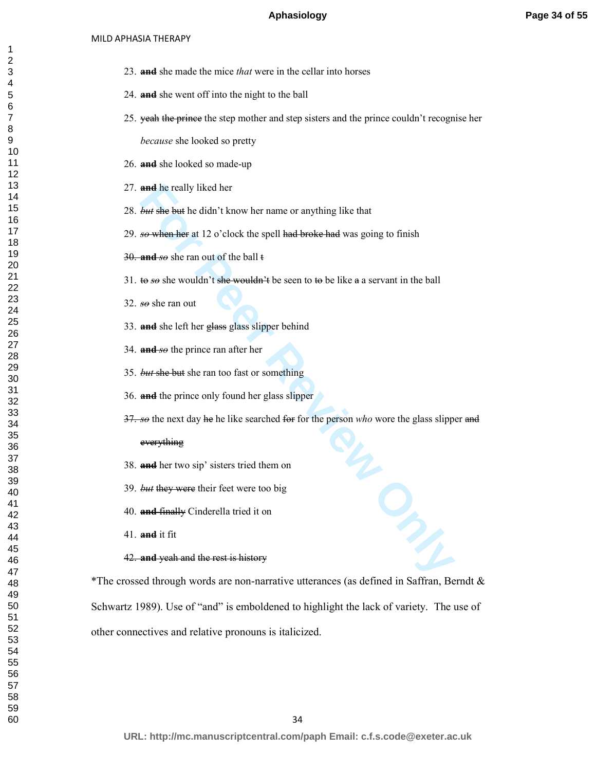- 24. **and** she went off into the night to the ball
- 25. yeah the prince the step mother and step sisters and the prince couldn't recognise her

*because* she looked so pretty

- 26. **and** she looked so made-up
- 27. **and** he really liked her
- 28. *but* she but he didn't know her name or anything like that
- 29. *so* when her at 12 o'clock the spell had broke had was going to finish
- 30. **and** *so* she ran out of the ball t
- 31. to *so* she wouldn't she wouldn't be seen to to be like a a servant in the ball
- 32. *so* she ran out
- 33. **and** she left her glass glass slipper behind
- 34. **and** *so* the prince ran after her
- 35. *but* she but she ran too fast or something
- 36. **and** the prince only found her glass slipper
- **For the Solution American** Solution the rest of the set of the set of the set of the set of the set of the set of the ball t set of the ball t and so she ran out of the ball t<br> **EVALUATE AMEX CONVENT CONVENT CONVENT** COND 37. *so* the next day he he like searched for for the person *who* wore the glass slipper and

everything

- 38. **and** her two sip' sisters tried them on
- 39. *but* they were their feet were too big
- 40. **and** finally Cinderella tried it on
- 41. **and** it fit

42. **and** yeah and the rest is history

\*The crossed through words are non-narrative utterances (as defined in Saffran, Berndt  $\&$ Schwartz 1989). Use of "and" is emboldened to highlight the lack of variety. The use of other connectives and relative pronouns is italicized.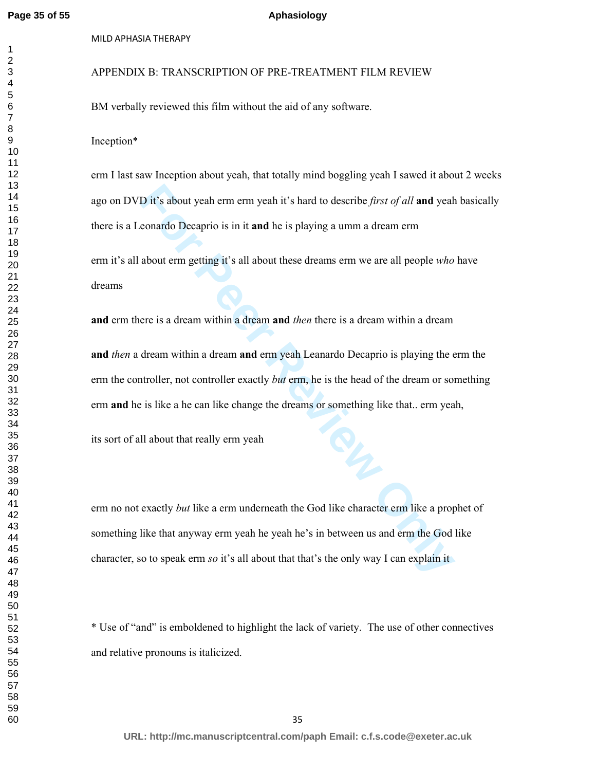MILD APHASIA THERAPY

APPENDIX B: TRANSCRIPTION OF PRE-TREATMENT FILM REVIEW

BM verbally reviewed this film without the aid of any software.

Inception\*

erm I last saw Inception about yeah, that totally mind boggling yeah I sawed it about 2 weeks ago on DVD it's about yeah erm erm yeah it's hard to describe *first of all* **and** yeah basically there is a Leonardo Decaprio is in it **and** he is playing a umm a dream erm

erm it's all about erm getting it's all about these dreams erm we are all people *who* have dreams

**and** erm there is a dream within a dream **and** *then* there is a dream within a dream

**and** *then* a dream within a dream **and** erm yeah Leanardo Decaprio is playing the erm the erm the controller, not controller exactly *but* erm, he is the head of the dream or something erm **and** he is like a he can like change the dreams or something like that.. erm yeah,

its sort of all about that really erm yeah

D it's about yeah erm erm yeah it's hard to describe *first of all* and yeah<br>eonardo Decaprio is in it and he is playing a umm a dream erm<br>about erm getting it's all about these dreams erm we are all people *who*<br>ere is a erm no not exactly *but* like a erm underneath the God like character erm like a prophet of something like that anyway erm yeah he yeah he's in between us and erm the God like character, so to speak erm *so* it's all about that that's the only way I can explain it

\* Use of "and" is emboldened to highlight the lack of variety. The use of other connectives and relative pronouns is italicized.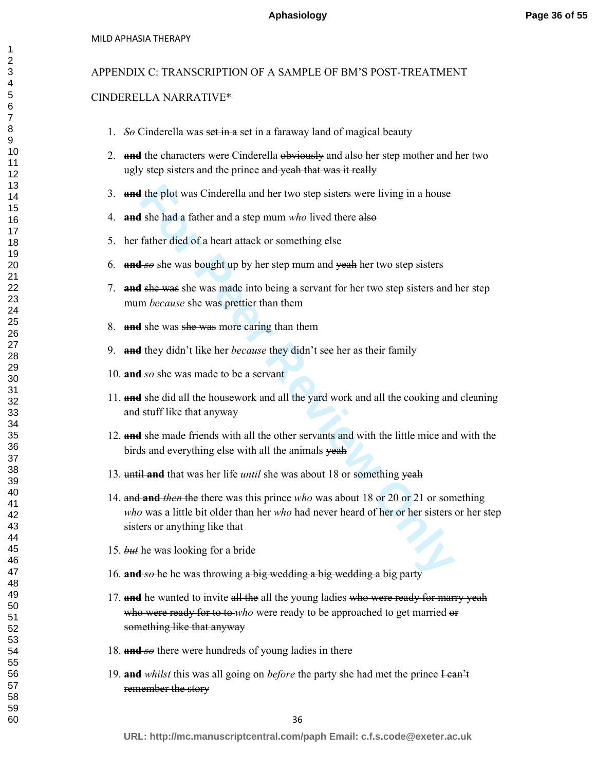# APPENDIX C: TRANSCRIPTION OF A SAMPLE OF BM'S POST-TREATMENT

### CINDERELLA NARRATIVE\*

- 1. *So* Cinderella was set in a set in a faraway land of magical beauty
- 2. **and** the characters were Cinderella obviously and also her step mother and her two ugly step sisters and the prince and yeah that was it really
- 3. **and** the plot was Cinderella and her two step sisters were living in a house
- 4. **and** she had a father and a step mum *who* lived there also
- 5. her father died of a heart attack or something else
- 6. **and** *so* she was bought up by her step mum and yeah her two step sisters
- 7. **and** she was she was made into being a servant for her two step sisters and her step mum *because* she was prettier than them
- 8. **and** she was she was more caring than them
- 9. **and** they didn't like her *because* they didn't see her as their family
- 10. **and** *so* she was made to be a servant
- 11. **and** she did all the housework and all the yard work and all the cooking and cleaning and stuff like that anyway
- 12. **and** she made friends with all the other servants and with the little mice and with the birds and everything else with all the animals yeah
- 13. until **and** that was her life *until* she was about 18 or something yeah
- **For the plot was Cinderella and her two step sisters were living in a house**<br> **For the had a father and a step mum who lived there also**<br> **For the had a father and a step mum who lived there also**<br> **For she was bought up** 14. and **and** *then* the there was this prince *who* was about 18 or 20 or 21 or something *who* was a little bit older than her *who* had never heard of her or her sisters or her step sisters or anything like that
- 15. *but* he was looking for a bride
- 16. **and** *so* he he was throwing a big wedding a big wedding a big party
- 17. **and** he wanted to invite all the all the young ladies who were ready for marry yeah who were ready for to to *who* were ready to be approached to get married or something like that anyway
- 18. **and** *so* there were hundreds of young ladies in there
- 19. **and** *whilst* this was all going on *before* the party she had met the prince Hean't remember the story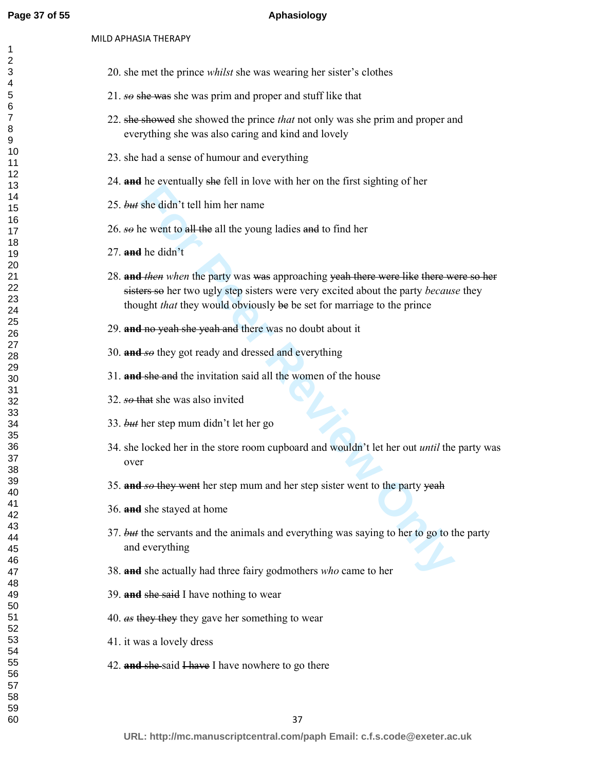#### **Aphasiology**

#### MILD APHASIA THERAPY

- 20. she met the prince *whilst* she was wearing her sister's clothes
- 21. *so* she was she was prim and proper and stuff like that
- 22. she showed she showed the prince *that* not only was she prim and proper and everything she was also caring and kind and lovely
- 23. she had a sense of humour and everything
- 24. **and** he eventually she fell in love with her on the first sighting of her
- 25. *but* she didn't tell him her name
- 26. *so* he went to all the all the young ladies and to find her
- 27. **and** he didn't
- **For Periodicity** and entired on the state of the state of the state of the didn't tell him her name<br> **For Peer Review Only** and the party was wears approaching yea<del>h there were like there were the</del><br> **For Peer Review Only** 28. **and** *then when* the party was was approaching yeah there were like there were so her sisters so her two ugly step sisters were very excited about the party *because* they thought *that* they would obviously be be set for marriage to the prince
- 29. **and** no yeah she yeah and there was no doubt about it
- 30. **and** *so* they got ready and dressed and everything
- 31. **and** she and the invitation said all the women of the house
- 32. *so* that she was also invited
- 33. *but* her step mum didn't let her go
- 34. she locked her in the store room cupboard and wouldn't let her out *until* the party was over
- 35. **and** *so* they went her step mum and her step sister went to the party yeah
- 36. **and** she stayed at home
- 37. *but* the servants and the animals and everything was saying to her to go to the party and everything
- 38. **and** she actually had three fairy godmothers *who* came to her
- 39. **and** she said I have nothing to wear
- 40. *as* they they they gave her something to wear
- 41. it was a lovely dress
- 42. **and** she said I have I have nowhere to go there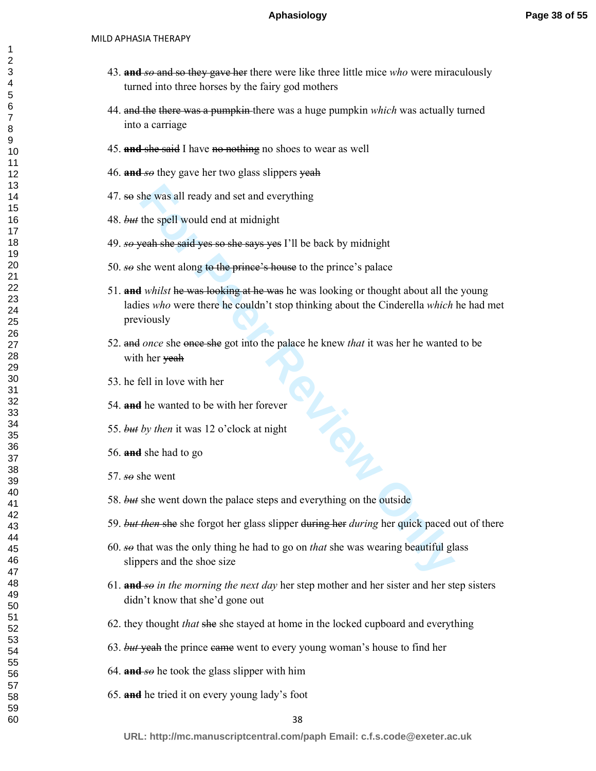- 43. **and** *so* and so they gave her there were like three little mice *who* were miraculously turned into three horses by the fairy god mothers
- 44. and the there was a pumpkin there was a huge pumpkin *which* was actually turned into a carriage
- 45. **and** she said I have no nothing no shoes to wear as well
- 46. **and** *so* they gave her two glass slippers yeah
- 47. so she was all ready and set and everything
- 48. *but* the spell would end at midnight
- 49. *so* yeah she said yes so she says yes I'll be back by midnight
- 50. *so* she went along to the prince's house to the prince's palace
- 51. **and** *whilst* he was looking at he was he was looking or thought about all the young ladies *who* were there he couldn't stop thinking about the Cinderella *which* he had met previously
- 52. and *once* she once she got into the palace he knew *that* it was her he wanted to be with her yeah
- 53. he fell in love with her
- 54. **and** he wanted to be with her forever
- 55. *but by then* it was 12 o'clock at night
- 56. **and** she had to go
- 57. *so* she went
- **For Period** 58. *but* she went down the palace steps and everything on the outside
- 59. *but then* she she forgot her glass slipper during her *during* her quick paced out of there
- 60. *so* that was the only thing he had to go on *that* she was wearing beautiful glass slippers and the shoe size
- 61. **and** *so in the morning the next day* her step mother and her sister and her step sisters didn't know that she'd gone out
- 62. they thought *that* she she stayed at home in the locked cupboard and everything
- 63. *but* yeah the prince came went to every young woman's house to find her
- 64. **and** *so* he took the glass slipper with him
- 65. **and** he tried it on every young lady's foot

**URL: http://mc.manuscriptcentral.com/paph Email: c.f.s.code@exeter.ac.uk**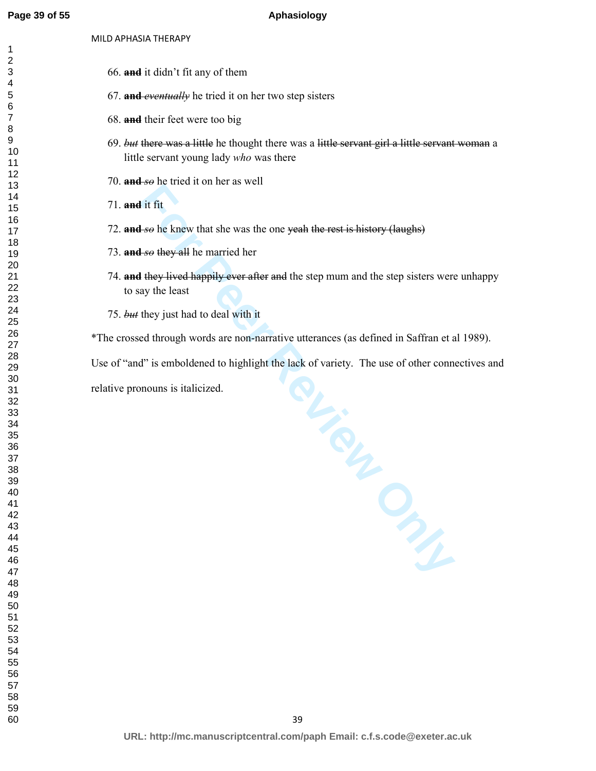MILD APHASIA THERAPY

- 66. **and** it didn't fit any of them
- 67. **and** *eventually* he tried it on her two step sisters
- 68. **and** their feet were too big
- 69. *but* there was a little he thought there was a little servant girl a little servant woman a little servant young lady *who* was there
- 70. **and** *so* he tried it on her as well
- 71. **and** it fit
- 72. **and** *so* he knew that she was the one yeah the rest is history (laughs)
- 73. **and** *so* they all he married her
- 74. **and** they lived happily ever after and the step mum and the step sisters were unhappy to say the least
- 75. *but* they just had to deal with it

\*The crossed through words are non-narrative utterances (as defined in Saffran et al 1989).

**FIRE**<br>PER PER Use of "and" is emboldened to highlight the lack of variety. The use of other connectives and

relative pronouns is italicized.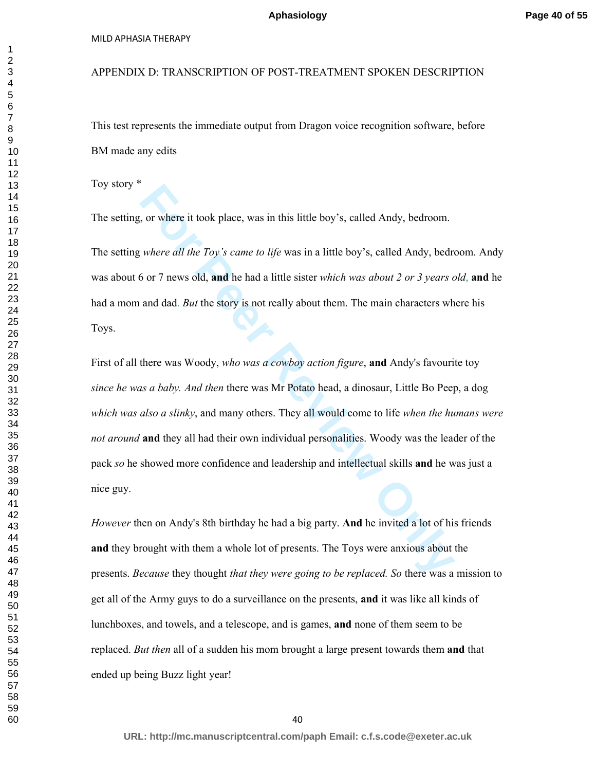#### **Page 40 of 55**

#### MILD APHASIA THERAPY

### APPENDIX D: TRANSCRIPTION OF POST-TREATMENT SPOKEN DESCRIPTION

This test represents the immediate output from Dragon voice recognition software, before BM made any edits

Toy story \*

The setting, or where it took place, was in this little boy's, called Andy, bedroom.

The setting *where all the Toy's came to life* was in a little boy's, called Andy, bedroom. Andy was about 6 or 7 news old, **and** he had a little sister *which was about 2 or 3 years old*, **and** he had a mom and dad. *But* the story is not really about them. The main characters where his Toys.

or where it took place, was in this little boy's, called Andy, bedroom.<br> *where all the Toy's came to life* was in a little boy's, called Andy, bedreaft for 7 news old, **and** he had a little sister *which was about 2 or 3* First of all there was Woody, *who was a cowboy action figure*, **and** Andy's favourite toy *since he was a baby. And then* there was Mr Potato head, a dinosaur, Little Bo Peep, a dog *which was also a slinky*, and many others. They all would come to life *when the humans were not around* **and** they all had their own individual personalities. Woody was the leader of the pack *so* he showed more confidence and leadership and intellectual skills **and** he was just a nice guy.

*However* then on Andy's 8th birthday he had a big party. **And** he invited a lot of his friends **and** they brought with them a whole lot of presents. The Toys were anxious about the presents. *Because* they thought *that they were going to be replaced. So* there was a mission to get all of the Army guys to do a surveillance on the presents, **and** it was like all kinds of lunchboxes, and towels, and a telescope, and is games, **and** none of them seem to be replaced. *But then* all of a sudden his mom brought a large present towards them **and** that ended up being Buzz light year!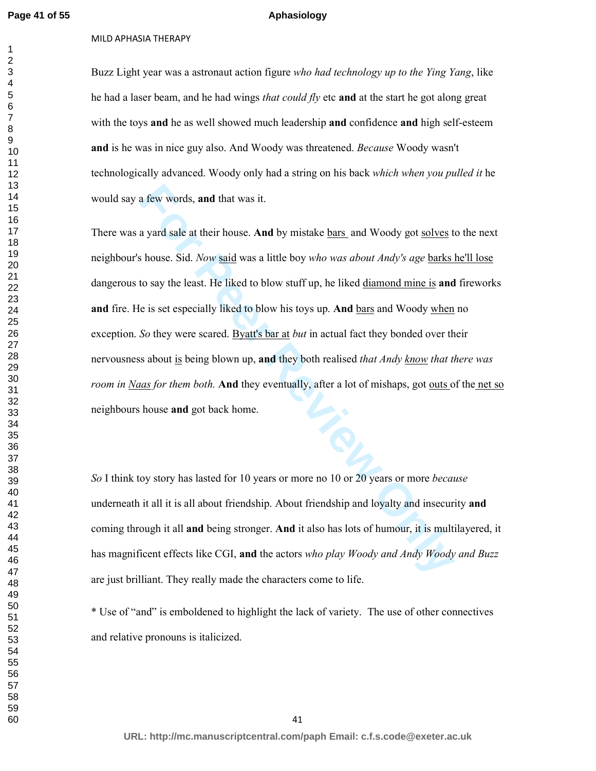#### **Aphasiology**

#### MILD APHASIA THERAPY

Buzz Light year was a astronaut action figure *who had technology up to the Ying Yang*, like he had a laser beam, and he had wings *that could fly* etc **and** at the start he got along great with the toys **and** he as well showed much leadership **and** confidence **and** high self-esteem **and** is he was in nice guy also. And Woody was threatened. *Because* Woody wasn't technologically advanced. Woody only had a string on his back *which when you pulled it* he would say a few words, **and** that was it.

a few words, and that was it.<br>
a yard sale at their house. And by mistake <u>bars</u> and Woody got <u>solves</u> to<br>
house. Sid. *Now* said was a little boy *who was about Andy's age* barks to<br>
to say the least. He liked to blow st There was a yard sale at their house. **And** by mistake bars and Woody got solves to the next neighbour's house. Sid. *Now* said was a little boy *who was about Andy's age* barks he'll lose dangerous to say the least. He liked to blow stuff up, he liked diamond mine is **and** fireworks **and** fire. He is set especially liked to blow his toys up. **And** bars and Woody when no exception. *So* they were scared. Byatt's bar at *but* in actual fact they bonded over their nervousness about is being blown up, **and** they both realised *that Andy know that there was room in Naas for them both.* And they eventually, after a lot of mishaps, got <u>outs</u> of the net so neighbours house **and** got back home.

*So* I think toy story has lasted for 10 years or more no 10 or 20 years or more *because* underneath it all it is all about friendship. About friendship and loyalty and insecurity **and** coming through it all **and** being stronger. **And** it also has lots of humour, it is multilayered, it has magnificent effects like CGI, **and** the actors *who play Woody and Andy Woody and Buzz* are just brilliant. They really made the characters come to life.

\* Use of "and" is emboldened to highlight the lack of variety. The use of other connectives and relative pronouns is italicized.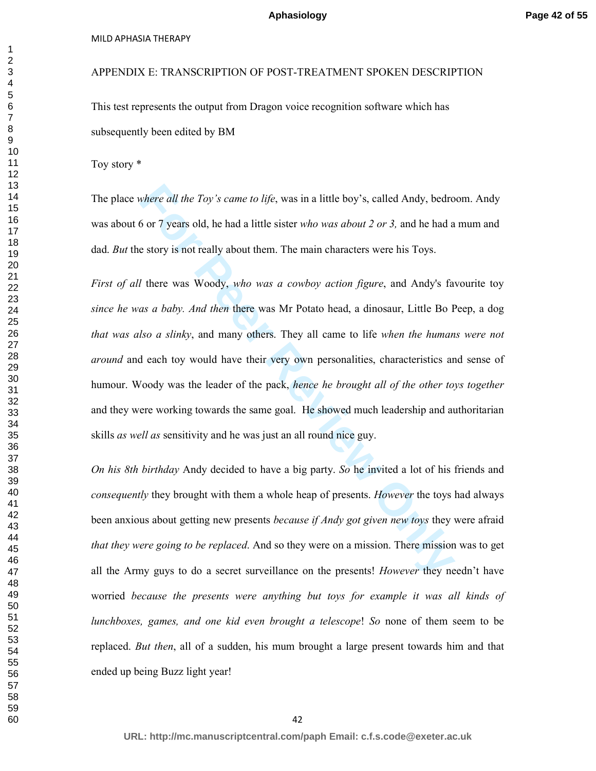#### APPENDIX E: TRANSCRIPTION OF POST-TREATMENT SPOKEN DESCRIPTION

This test represents the output from Dragon voice recognition software which has subsequently been edited by BM

Toy story \*

The place *where all the Toy's came to life*, was in a little boy's, called Andy, bedroom. Andy was about 6 or 7 years old, he had a little sister *who was about 2 or 3,* and he had a mum and dad. *But* the story is not really about them. The main characters were his Toys.

where all the Toy's came to life, was in a little boy's, called Andy, bedro<br>
for 7 years old, he had a little sister who was about 2 or 3, and he had a<br>
story is not really about them. The main characters were his Toys.<br>
I *First of all* there was Woody, *who was a cowboy action figure*, and Andy's favourite toy *since he was a baby. And then* there was Mr Potato head, a dinosaur, Little Bo Peep, a dog *that was also a slinky*, and many others. They all came to life *when the humans were not around* and each toy would have their very own personalities, characteristics and sense of humour. Woody was the leader of the pack, *hence he brought all of the other toys together* and they were working towards the same goal. He showed much leadership and authoritarian skills *as well as* sensitivity and he was just an all round nice guy.

*On his 8th birthday* Andy decided to have a big party. *So* he invited a lot of his friends and *consequently* they brought with them a whole heap of presents. *However* the toys had always been anxious about getting new presents *because if Andy got given new toys* they were afraid *that they were going to be replaced*. And so they were on a mission. There mission was to get all the Army guys to do a secret surveillance on the presents! *However* they needn't have worried *because the presents were anything but toys for example it was all kinds of lunchboxes, games, and one kid even brought a telescope*! *So* none of them seem to be replaced. *But then*, all of a sudden, his mum brought a large present towards him and that ended up being Buzz light year!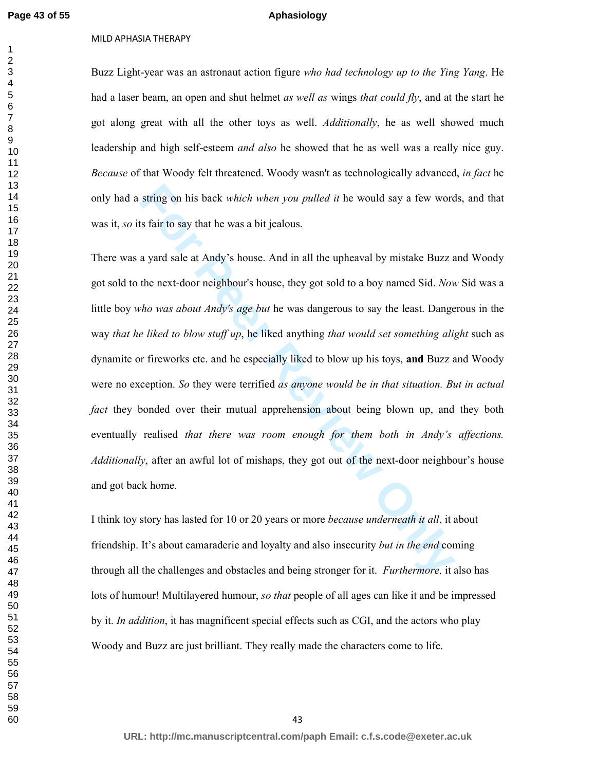#### MILD APHASIA THERAPY

Buzz Light-year was an astronaut action figure *who had technology up to the Ying Yang*. He had a laser beam, an open and shut helmet *as well as* wings *that could fly*, and at the start he got along great with all the other toys as well. *Additionally*, he as well showed much leadership and high self-esteem *and also* he showed that he as well was a really nice guy. *Because* of that Woody felt threatened. Woody wasn't as technologically advanced, *in fact* he only had a string on his back *which when you pulled it* he would say a few words, and that was it, *so* its fair to say that he was a bit jealous.

string on his back which when you pulled it he would say a few word<br> **For Peer Peer Review As** but he was a bit jealous.<br> **A** yard sale at Andy's house. And in all the upheaval by mistake Buzz is<br>
the next-door neighbour's There was a yard sale at Andy's house. And in all the upheaval by mistake Buzz and Woody got sold to the next-door neighbour's house, they got sold to a boy named Sid. *Now* Sid was a little boy *who was about Andy's age but* he was dangerous to say the least. Dangerous in the way *that he liked to blow stuff up*, he liked anything *that would set something alight* such as dynamite or fireworks etc. and he especially liked to blow up his toys, **and** Buzz and Woody were no exception. *So* they were terrified *as anyone would be in that situation. But in actual fact* they bonded over their mutual apprehension about being blown up, and they both eventually realised *that there was room enough for them both in Andy's affections. Additionally*, after an awful lot of mishaps, they got out of the next-door neighbour's house and got back home.

I think toy story has lasted for 10 or 20 years or more *because underneath it all*, it about friendship. It's about camaraderie and loyalty and also insecurity *but in the end* coming through all the challenges and obstacles and being stronger for it. *Furthermore,* it also has lots of humour! Multilayered humour, *so that* people of all ages can like it and be impressed by it. *In addition*, it has magnificent special effects such as CGI, and the actors who play Woody and Buzz are just brilliant. They really made the characters come to life.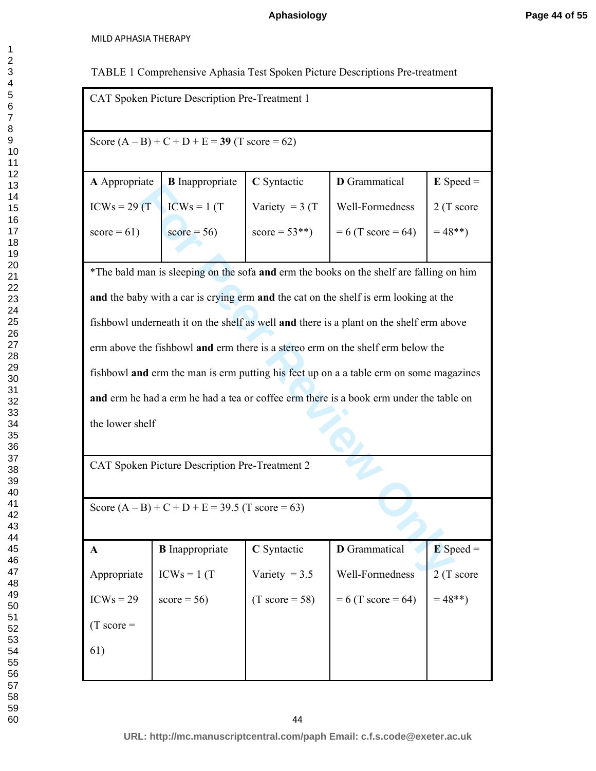#### MILD APHASIA THERAPY

TABLE 1 Comprehensive Aphasia Test Spoken Picture Descriptions Pre-treatment

| CAT Spoken Picture Description Pre-Treatment 1    |                                                 |                                                    |                                                                                         |            |  |  |  |  |
|---------------------------------------------------|-------------------------------------------------|----------------------------------------------------|-----------------------------------------------------------------------------------------|------------|--|--|--|--|
|                                                   | Score $(A - B) + C + D + E = 39$ (T score = 62) |                                                    |                                                                                         |            |  |  |  |  |
| A Appropriate                                     | <b>B</b> Inappropriate                          | <b>D</b> Grammatical<br>C Syntactic<br>$E$ Speed = |                                                                                         |            |  |  |  |  |
| $ICWs = 29(T)$                                    | $ICWs = 1(T)$                                   | Variety = $3(T)$                                   | Well-Formedness                                                                         | 2 (T score |  |  |  |  |
| $score = 61$                                      | $score = 56$                                    | score = $53$ **)                                   | $= 6$ (T score $= 64$ )<br>$=48**$                                                      |            |  |  |  |  |
|                                                   |                                                 |                                                    | *The bald man is sleeping on the sofa and erm the books on the shelf are falling on him |            |  |  |  |  |
|                                                   |                                                 |                                                    | and the baby with a car is crying erm and the cat on the shelf is erm looking at the    |            |  |  |  |  |
|                                                   |                                                 |                                                    | fishbowl underneath it on the shelf as well and there is a plant on the shelf erm above |            |  |  |  |  |
|                                                   |                                                 |                                                    | erm above the fishbowl and erm there is a stereo erm on the shelf erm below the         |            |  |  |  |  |
|                                                   |                                                 |                                                    | fishbowl and erm the man is erm putting his feet up on a a table erm on some magazines  |            |  |  |  |  |
|                                                   |                                                 |                                                    | and erm he had a erm he had a tea or coffee erm there is a book erm under the table on  |            |  |  |  |  |
| the lower shelf                                   |                                                 |                                                    |                                                                                         |            |  |  |  |  |
|                                                   |                                                 |                                                    |                                                                                         |            |  |  |  |  |
| CAT Spoken Picture Description Pre-Treatment 2    |                                                 |                                                    |                                                                                         |            |  |  |  |  |
|                                                   |                                                 |                                                    |                                                                                         |            |  |  |  |  |
| Score $(A - B) + C + D + E = 39.5$ (T score = 63) |                                                 |                                                    |                                                                                         |            |  |  |  |  |
| $\mathbf{A}$                                      | <b>B</b> Inappropriate                          | C Syntactic                                        | <b>D</b> Grammatical<br>$E$ Speed =                                                     |            |  |  |  |  |
| Appropriate                                       | $ICWs = 1(T)$                                   | Variety = $3.5$                                    | Well-Formedness                                                                         | 2 (T score |  |  |  |  |
| $ICWs = 29$                                       | $score = 56$                                    | $(T \text{ score} = 58)$                           | $= 6$ (T score $= 64$ )                                                                 | $=48**$    |  |  |  |  |
| $(T \text{ score} =$                              |                                                 |                                                    |                                                                                         |            |  |  |  |  |
| 61)                                               |                                                 |                                                    |                                                                                         |            |  |  |  |  |
|                                                   |                                                 |                                                    |                                                                                         |            |  |  |  |  |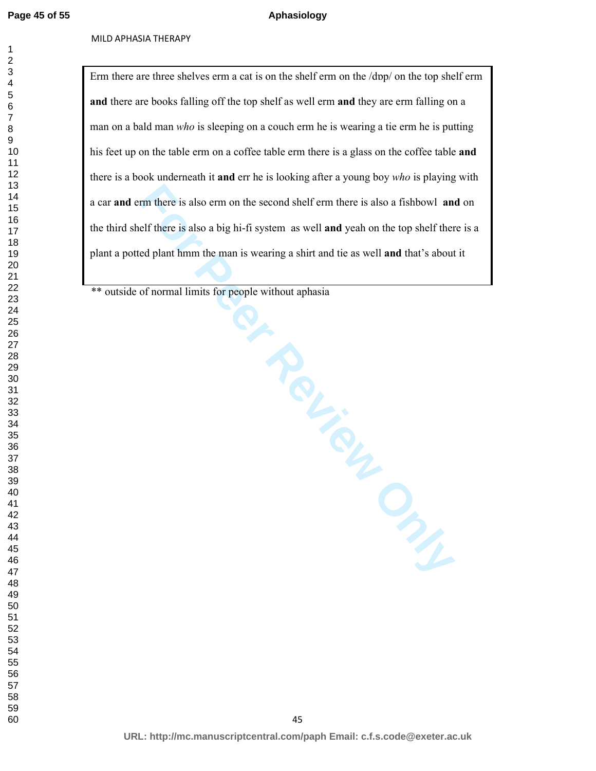#### **Aphasiology**

#### MILD APHASIA THERAPY

For Perime a. Erm there are three shelves erm a cat is on the shelf erm on the /dɒp/ on the top shelf erm **and** there are books falling off the top shelf as well erm **and** they are erm falling on a man on a bald man *who* is sleeping on a couch erm he is wearing a tie erm he is putting his feet up on the table erm on a coffee table erm there is a glass on the coffee table **and** there is a book underneath it **and** err he is looking after a young boy *who* is playing with a car **and** erm there is also erm on the second shelf erm there is also a fishbowl **and** on the third shelf there is also a big hi-fi system as well **and** yeah on the top shelf there is a plant a potted plant hmm the man is wearing a shirt and tie as well **and** that's about it

\*\* outside of normal limits for people without aphasia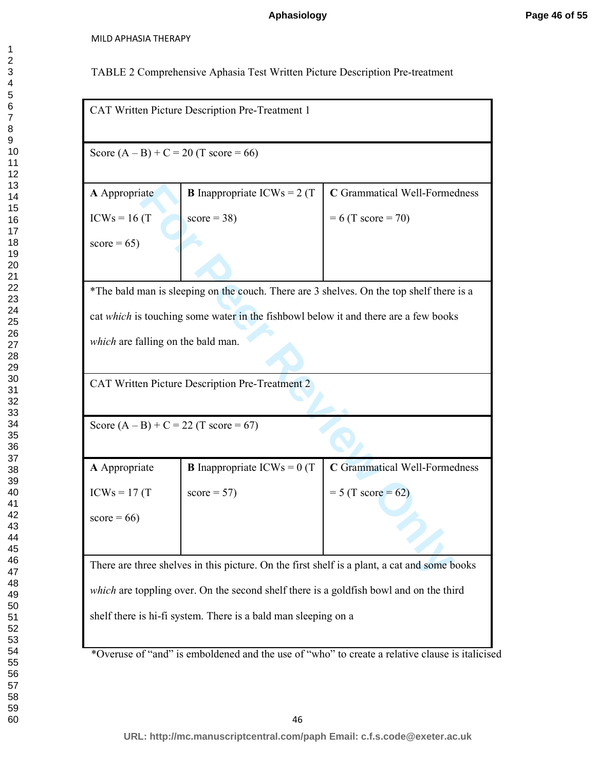#### MILD APHASIA THERAPY

TABLE 2 Comprehensive Aphasia Test Written Picture Description Pre-treatment

| CAT Written Picture Description Pre-Treatment 1                                              |                                                                                     |                                                                                          |  |  |  |
|----------------------------------------------------------------------------------------------|-------------------------------------------------------------------------------------|------------------------------------------------------------------------------------------|--|--|--|
| Score $(A - B) + C = 20$ (T score = 66)                                                      |                                                                                     |                                                                                          |  |  |  |
| A Appropriate                                                                                | <b>B</b> Inappropriate ICWs = $2(T)$<br>C Grammatical Well-Formedness               |                                                                                          |  |  |  |
| $ICWs = 16(T)$                                                                               | $= 6$ (T score = 70)<br>$score = 38$                                                |                                                                                          |  |  |  |
| $score = 65$                                                                                 |                                                                                     |                                                                                          |  |  |  |
|                                                                                              |                                                                                     | *The bald man is sleeping on the couch. There are 3 shelves. On the top shelf there is a |  |  |  |
|                                                                                              | cat which is touching some water in the fishbowl below it and there are a few books |                                                                                          |  |  |  |
| which are falling on the bald man.                                                           |                                                                                     |                                                                                          |  |  |  |
|                                                                                              | CAT Written Picture Description Pre-Treatment 2                                     |                                                                                          |  |  |  |
| Score $(A - B) + C = 22$ (T score = 67)                                                      |                                                                                     |                                                                                          |  |  |  |
| A Appropriate                                                                                | <b>B</b> Inappropriate ICWs = $0(T)$                                                | C Grammatical Well-Formedness                                                            |  |  |  |
| $ICWs = 17(T)$                                                                               | $score = 57$                                                                        | $= 5$ (T score $= 62$ )                                                                  |  |  |  |
| $score = 66$                                                                                 |                                                                                     |                                                                                          |  |  |  |
| There are three shelves in this picture. On the first shelf is a plant, a cat and some books |                                                                                     |                                                                                          |  |  |  |
| which are toppling over. On the second shelf there is a goldfish bowl and on the third       |                                                                                     |                                                                                          |  |  |  |
| shelf there is hi-fi system. There is a bald man sleeping on a                               |                                                                                     |                                                                                          |  |  |  |

\*Overuse of "and" is emboldened and the use of "who" to create a relative clause is italicised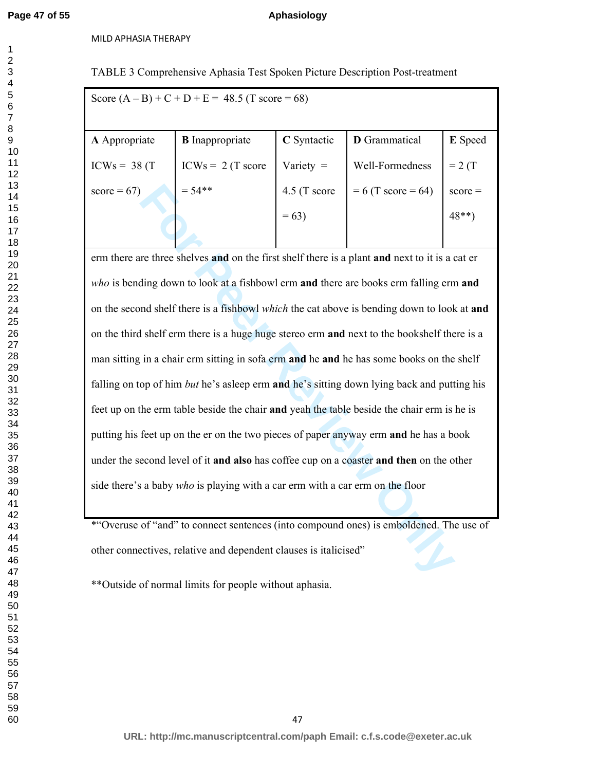#### **Page 47 of 55**

 

#### **Aphasiology**

#### MILD APHASIA THERAPY

TABLE 3 Comprehensive Aphasia Test Spoken Picture Description Post-treatment

| Score $(A - B) + C + D + E = 48.5$ (T score = 68) |                        |                |                         |           |  |  |
|---------------------------------------------------|------------------------|----------------|-------------------------|-----------|--|--|
| A Appropriate                                     | <b>B</b> Inappropriate | C Syntactic    | <b>D</b> Grammatical    | E Speed   |  |  |
| $ICWs = 38(T)$                                    | $ICWs = 2(T score)$    | Variety $=$    | Well-Formedness         | $= 2(T)$  |  |  |
| $score = 67$                                      | $= 54$ **              | $4.5$ (T score | $= 6$ (T score $= 64$ ) | $score =$ |  |  |
|                                                   |                        | $= 63$         |                         | $48**$    |  |  |

For  $\frac{4.5 \text{ (T score)}}{4}$  and the first shelf there is a plant and next to it is a ding down to look at a fishbowl erm and there are books erm falling erm and shelf there is a fishbowl erm and there are books erm falling erm erm there are three shelves **and** on the first shelf there is a plant **and** next to it is a cat er *who* is bending down to look at a fishbowl erm **and** there are books erm falling erm **and** on the second shelf there is a fishbowl *which* the cat above is bending down to look at **and** on the third shelf erm there is a huge huge stereo erm **and** next to the bookshelf there is a man sitting in a chair erm sitting in sofa erm **and** he **and** he has some books on the shelf falling on top of him *but* he's asleep erm **and** he's sitting down lying back and putting his feet up on the erm table beside the chair **and** yeah the table beside the chair erm is he is putting his feet up on the er on the two pieces of paper anyway erm **and** he has a book under the second level of it **and also** has coffee cup on a coaster **and then** on the other side there's a baby *who* is playing with a car erm with a car erm on the floor

\*"Overuse of "and" to connect sentences (into compound ones) is emboldened. The use of other connectives, relative and dependent clauses is italicised"

\*\*Outside of normal limits for people without aphasia.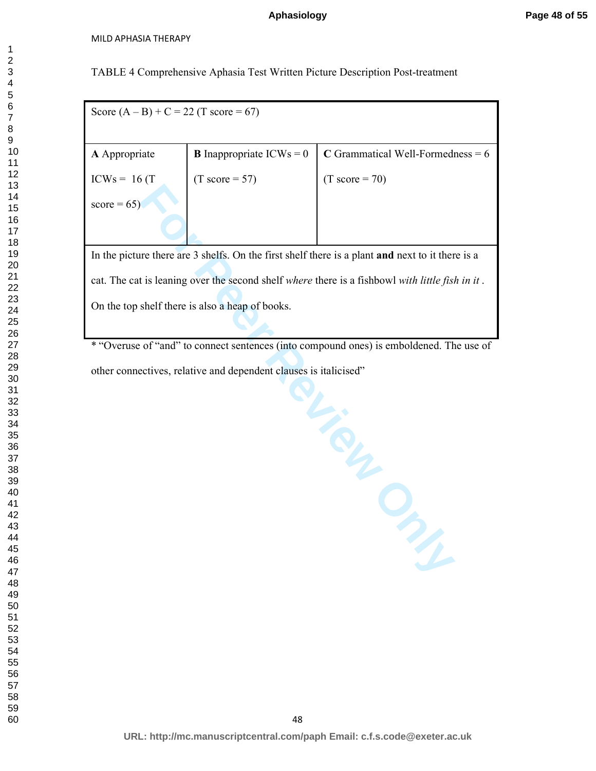TABLE 4 Comprehensive Aphasia Test Written Picture Description Post-treatment

Score  $(A - B) + C = 22$  (T score = 67)

| A Appropriate  | <b>B</b> Inappropriate ICWs = $0$ | $\mid$ C Grammatical Well-Formedness = 6 |
|----------------|-----------------------------------|------------------------------------------|
| $ICWs = 16(T)$ | $(T \text{ score} = 57)$          | $(T \text{ score} = 70)$                 |
| $score = 65$   |                                   |                                          |
|                |                                   |                                          |

In the picture there are 3 shelfs. On the first shelf there is a plant **and** next to it there is a cat. The cat is leaning over the second shelf *where* there is a fishbowl *with little fish in it* . On the top shelf there is also a heap of books.

**First Player Review Only** \* "Overuse of "and" to connect sentences (into compound ones) is emboldened. The use of other connectives, relative and dependent clauses is italicised"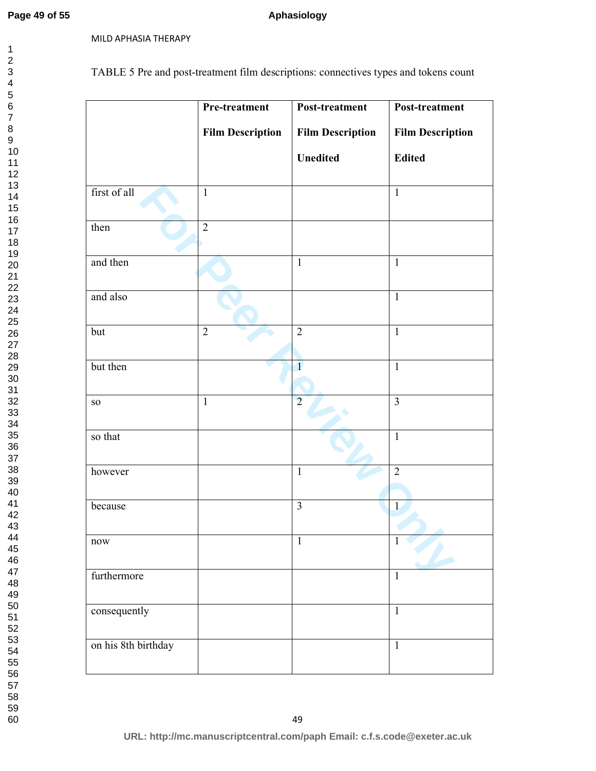#### **Aphasiology**

#### MILD APHASIA THERAPY

# TABLE 5 Pre and post-treatment film descriptions: connectives types and tokens count

|                      | Pre-treatment           | Post-treatment          | Post-treatment          |
|----------------------|-------------------------|-------------------------|-------------------------|
|                      | <b>Film Description</b> | <b>Film Description</b> | <b>Film Description</b> |
|                      |                         | Unedited                | Edited                  |
| first of all         | $\mathbf{1}$            |                         | $\mathbf{1}$            |
| then                 | $\overline{2}$          |                         |                         |
| and then             |                         | $\mathbf{1}$            | $\mathbf{1}$            |
| and also             |                         |                         | $\mathbf{1}$            |
| but                  | $\overline{2}$          | $\overline{2}$          | $\mathbf{1}$            |
| but then             |                         | $\overline{1}$          | $\mathbf{1}$            |
| ${\bf SO}$           | $\mathbf{1}$            | $\overline{2}$          | 3                       |
| so that              |                         |                         | $\mathbf{1}$            |
| however              |                         | $\mathbf{1}$            | $\overline{2}$          |
| because              |                         | $\overline{3}$          | $\mathbf{1}$            |
| $\operatorname{now}$ |                         | $\mathbf{1}$            | 1                       |
| furthermore          |                         |                         | $\mathbf{1}$            |
| consequently         |                         |                         | $\mathbf{1}$            |
| on his 8th birthday  |                         |                         | $\mathbf{1}$            |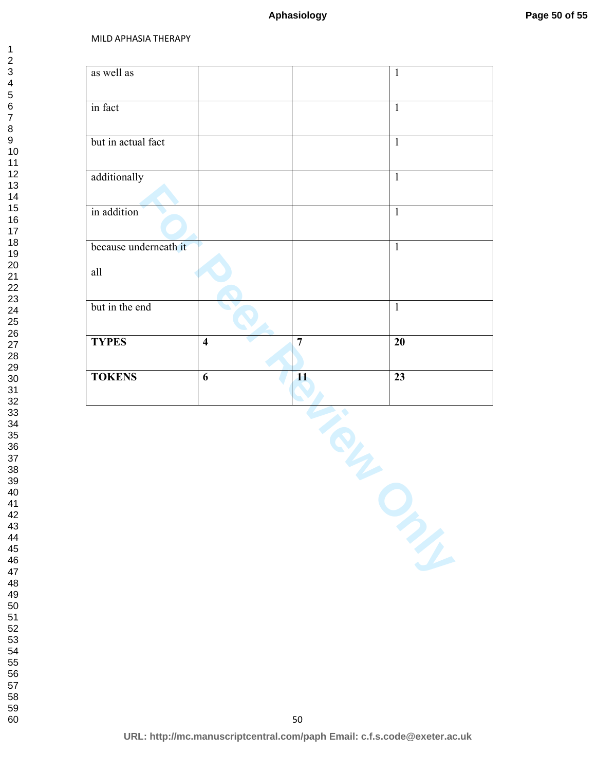| as well as            |                         |                | $\mathbf{1}$    |
|-----------------------|-------------------------|----------------|-----------------|
| in fact               |                         |                | $\overline{1}$  |
| but in actual fact    |                         |                | $\overline{1}$  |
| additionally          |                         |                | $\overline{1}$  |
| in addition           |                         |                | $\mathbf{1}$    |
| because underneath it |                         |                | $\overline{1}$  |
| $\mathbf{all}$        |                         |                |                 |
| but in the end        |                         |                | $\mathbf{1}$    |
| <b>TYPES</b>          | $\overline{\mathbf{4}}$ | $\overline{7}$ | $20\,$          |
| <b>TOKENS</b>         | 6                       | 11             | $\overline{23}$ |
|                       |                         |                | ma              |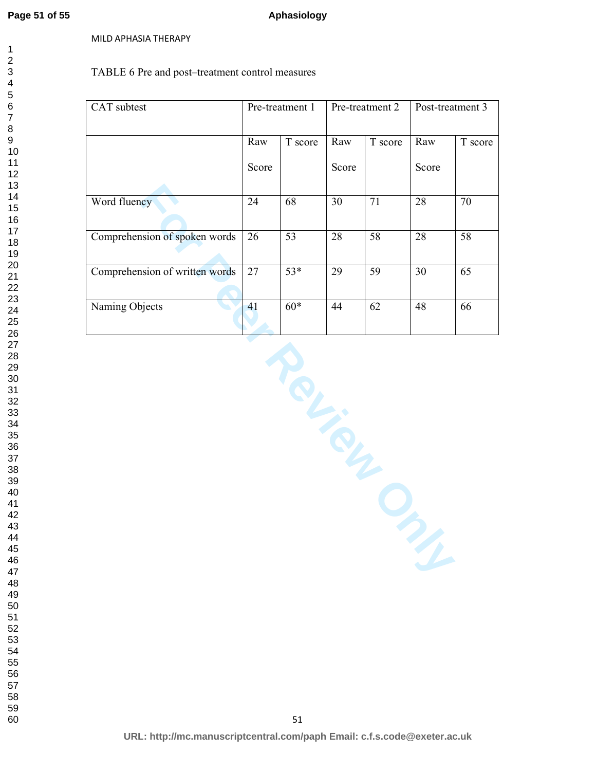#### MILD APHASIA THERAPY

# TABLE 6 Pre and post–treatment control measures

| CAT subtest                    | Pre-treatment 1 |         | Pre-treatment 2 |         | Post-treatment 3 |         |
|--------------------------------|-----------------|---------|-----------------|---------|------------------|---------|
|                                | Raw             | T score | Raw             | T score | Raw              | T score |
|                                | Score           |         | Score           |         | Score            |         |
| Word fluency                   | 24              | 68      | 30              | 71      | 28               | 70      |
| Comprehension of spoken words  | 26              | 53      | 28              | 58      | 28               | 58      |
| Comprehension of written words | 27              | $53*$   | 29              | 59      | 30               | 65      |
| Naming Objects                 | 41              | $60*$   | 44              | 62      | 48               | 66      |

**Review Only**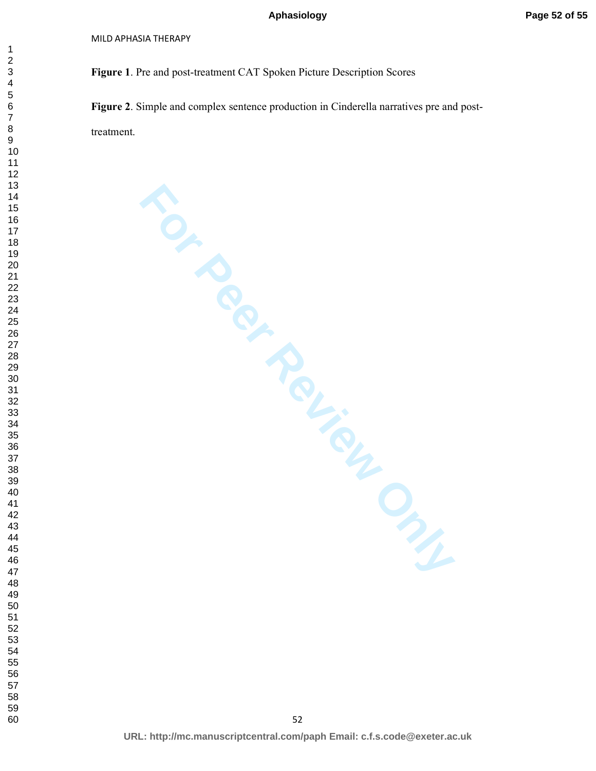**Figure 1**. Pre and post-treatment CAT Spoken Picture Description Scores

**Figure 2**. Simple and complex sentence production in Cinderella narratives pre and posttreatment.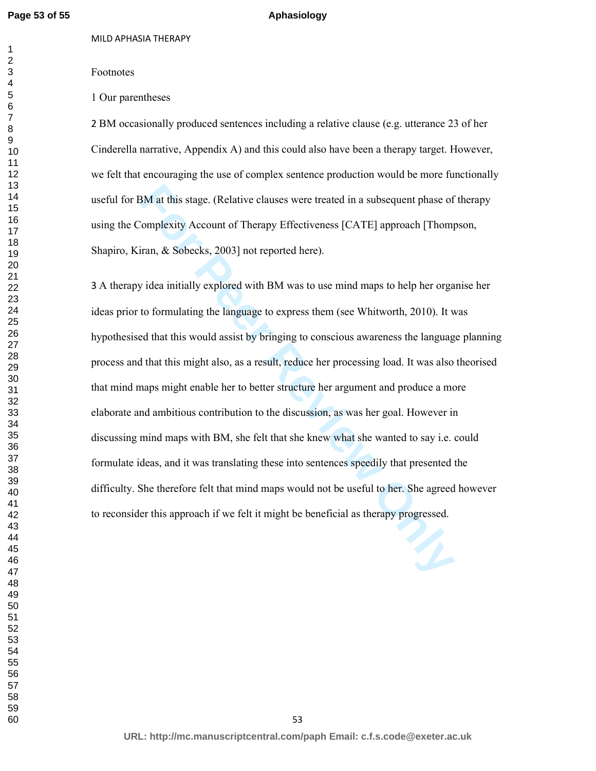MILD APHASIA THERAPY

#### Footnotes

1 Our parentheses

BM occasionally produced sentences including a relative clause (e.g. utterance 23 of her Cinderella narrative, Appendix A) and this could also have been a therapy target. However, we felt that encouraging the use of complex sentence production would be more functionally useful for BM at this stage. (Relative clauses were treated in a subsequent phase of therapy using the Complexity Account of Therapy Effectiveness [CATE] approach [Thompson, Shapiro, Kiran, & Sobecks, 2003] not reported here).

**For SM at this stage.** (Relative clauses were treated in a subsequent phase of complexity Account of Therapy Effectiveness [CATE] approach [Thomp iran, & Sobecks, 2003] not reported here).<br> *For idea* initially explored w A therapy idea initially explored with BM was to use mind maps to help her organise her ideas prior to formulating the language to express them (see Whitworth, 2010). It was hypothesised that this would assist by bringing to conscious awareness the language planning process and that this might also, as a result, reduce her processing load. It was also theorised that mind maps might enable her to better structure her argument and produce a more elaborate and ambitious contribution to the discussion, as was her goal. However in discussing mind maps with BM, she felt that she knew what she wanted to say i.e. could formulate ideas, and it was translating these into sentences speedily that presented the difficulty. She therefore felt that mind maps would not be useful to her. She agreed however to reconsider this approach if we felt it might be beneficial as therapy progressed.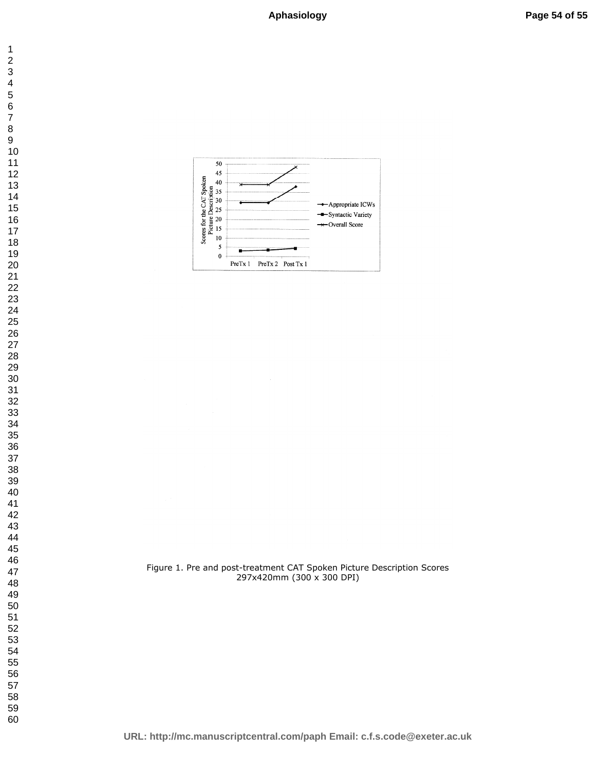



Figure 1. Pre and post-treatment CAT Spoken Picture Description Scores 297x420mm (300 x 300 DPI)